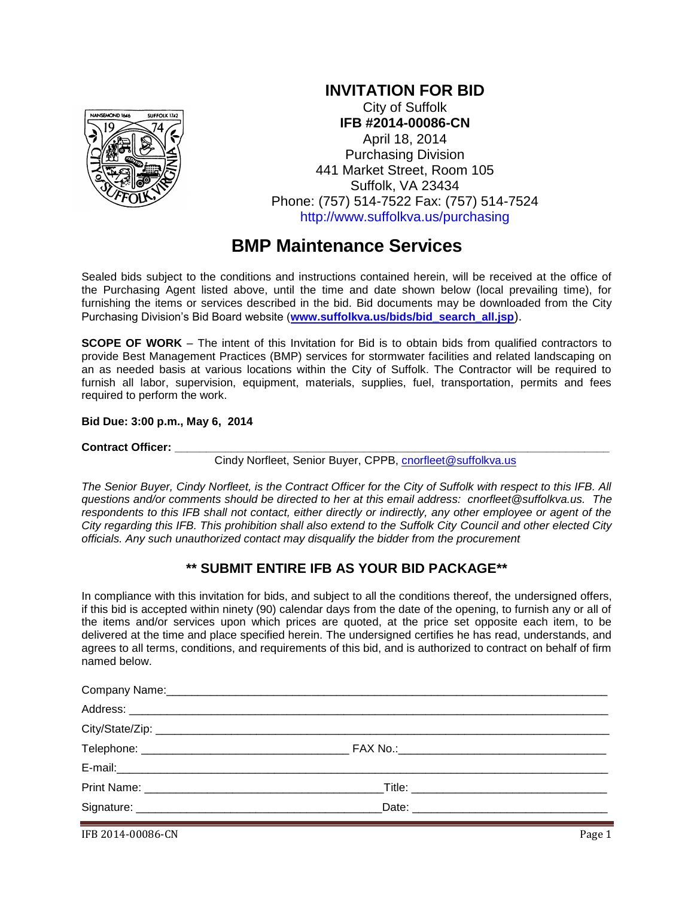

#### **INVITATION FOR BID** City of Suffolk **IFB #2014-00086-CN** April 18, 2014 Purchasing Division 441 Market Street, Room 105 Suffolk, VA 23434 Phone: (757) 514-7522 Fax: (757) 514-7524 http://www.suffolkva.us/purchasing

## **BMP Maintenance Services**

Sealed bids subject to the conditions and instructions contained herein, will be received at the office of the Purchasing Agent listed above, until the time and date shown below (local prevailing time), for furnishing the items or services described in the bid. Bid documents may be downloaded from the City Purchasing Division's Bid Board website (**[www.suffolkva.us/bids/bid\\_search\\_all.jsp](http://www.suffolkva.us/bids/bid_search_all.jsp)**).

**SCOPE OF WORK** – The intent of this Invitation for Bid is to obtain bids from qualified contractors to provide Best Management Practices (BMP) services for stormwater facilities and related landscaping on an as needed basis at various locations within the City of Suffolk. The Contractor will be required to furnish all labor, supervision, equipment, materials, supplies, fuel, transportation, permits and fees required to perform the work.

**Bid Due: 3:00 p.m., May 6, 2014**

Contract Officer:

Cindy Norfleet, Senior Buyer, CPPB, [cnorfleet@suffolkva.us](mailto:cnorfleet@suffolkva.us)

*The Senior Buyer, Cindy Norfleet, is the Contract Officer for the City of Suffolk with respect to this IFB. All questions and/or comments should be directed to her at this email address: cnorfleet@suffolkva.us. The respondents to this IFB shall not contact, either directly or indirectly, any other employee or agent of the City regarding this IFB. This prohibition shall also extend to the Suffolk City Council and other elected City officials. Any such unauthorized contact may disqualify the bidder from the procurement*

## **\*\* SUBMIT ENTIRE IFB AS YOUR BID PACKAGE\*\***

In compliance with this invitation for bids, and subject to all the conditions thereof, the undersigned offers, if this bid is accepted within ninety (90) calendar days from the date of the opening, to furnish any or all of the items and/or services upon which prices are quoted, at the price set opposite each item, to be delivered at the time and place specified herein. The undersigned certifies he has read, understands, and agrees to all terms, conditions, and requirements of this bid, and is authorized to contract on behalf of firm named below.

IFB 2014-00086-CN Page 1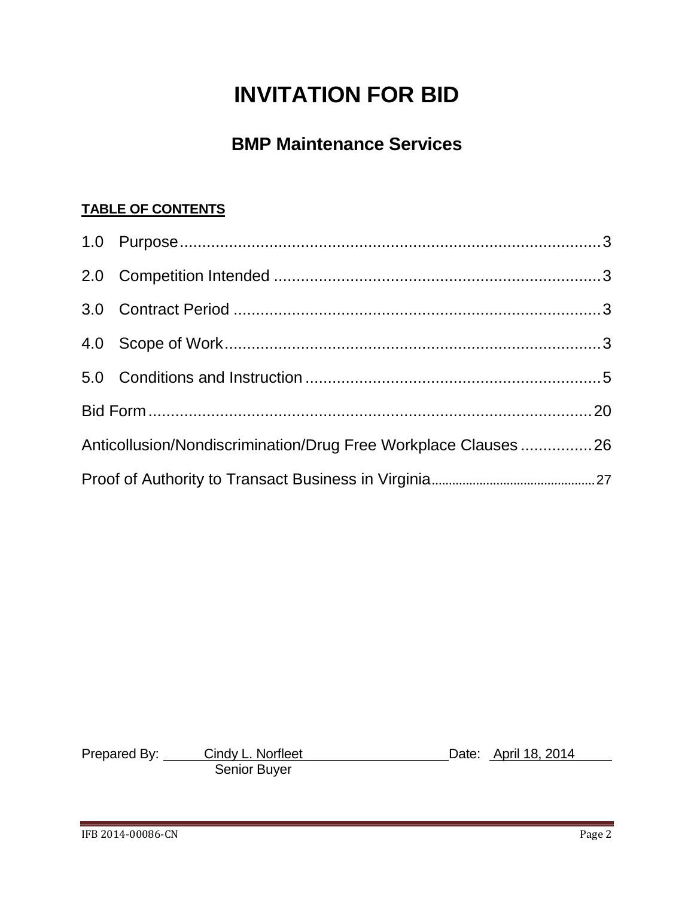# **INVITATION FOR BID**

# **BMP Maintenance Services**

## **TABLE OF CONTENTS**

| Anticollusion/Nondiscrimination/Drug Free Workplace Clauses26 |  |
|---------------------------------------------------------------|--|
|                                                               |  |

Prepared By: Cindy L. Norfleet Context Context Context Context Context Context Context Context Context Context Senior Buyer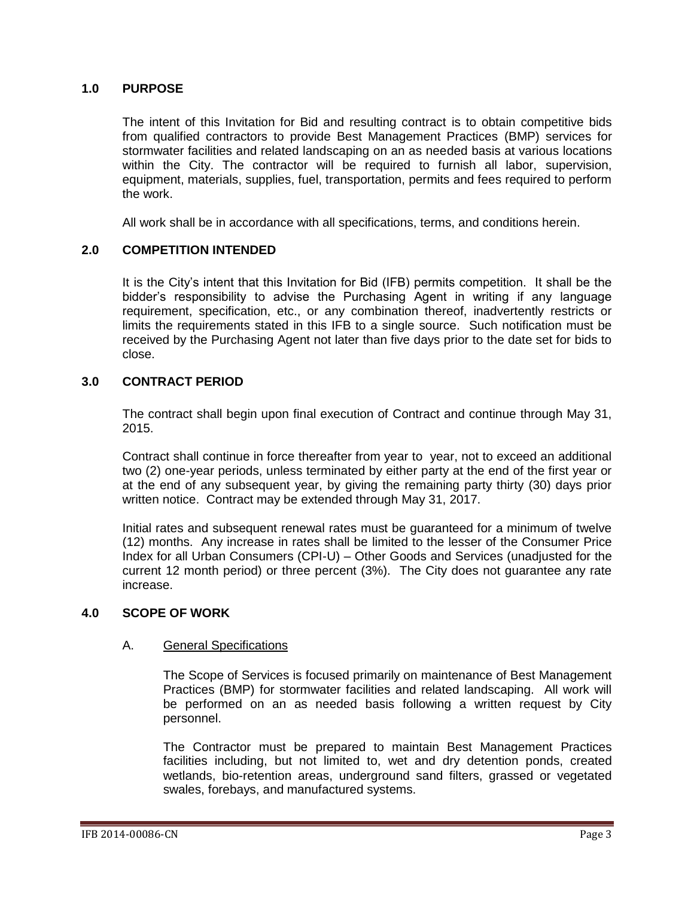#### **1.0 PURPOSE**

The intent of this Invitation for Bid and resulting contract is to obtain competitive bids from qualified contractors to provide Best Management Practices (BMP) services for stormwater facilities and related landscaping on an as needed basis at various locations within the City. The contractor will be required to furnish all labor, supervision, equipment, materials, supplies, fuel, transportation, permits and fees required to perform the work.

All work shall be in accordance with all specifications, terms, and conditions herein.

#### **2.0 COMPETITION INTENDED**

It is the City's intent that this Invitation for Bid (IFB) permits competition. It shall be the bidder's responsibility to advise the Purchasing Agent in writing if any language requirement, specification, etc., or any combination thereof, inadvertently restricts or limits the requirements stated in this IFB to a single source. Such notification must be received by the Purchasing Agent not later than five days prior to the date set for bids to close.

#### **3.0 CONTRACT PERIOD**

The contract shall begin upon final execution of Contract and continue through May 31, 2015.

Contract shall continue in force thereafter from year to year, not to exceed an additional two (2) one-year periods, unless terminated by either party at the end of the first year or at the end of any subsequent year, by giving the remaining party thirty (30) days prior written notice. Contract may be extended through May 31, 2017.

Initial rates and subsequent renewal rates must be guaranteed for a minimum of twelve (12) months. Any increase in rates shall be limited to the lesser of the Consumer Price Index for all Urban Consumers (CPI-U) – Other Goods and Services (unadjusted for the current 12 month period) or three percent (3%). The City does not guarantee any rate increase.

#### **4.0 SCOPE OF WORK**

#### A. General Specifications

The Scope of Services is focused primarily on maintenance of Best Management Practices (BMP) for stormwater facilities and related landscaping. All work will be performed on an as needed basis following a written request by City personnel.

The Contractor must be prepared to maintain Best Management Practices facilities including, but not limited to, wet and dry detention ponds, created wetlands, bio-retention areas, underground sand filters, grassed or vegetated swales, forebays, and manufactured systems.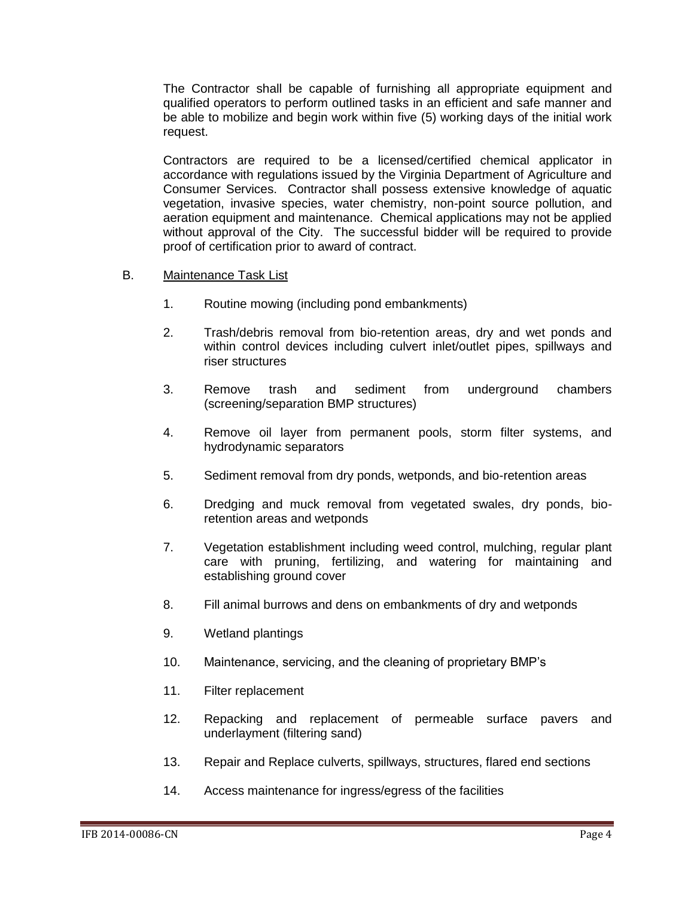The Contractor shall be capable of furnishing all appropriate equipment and qualified operators to perform outlined tasks in an efficient and safe manner and be able to mobilize and begin work within five (5) working days of the initial work request.

Contractors are required to be a licensed/certified chemical applicator in accordance with regulations issued by the Virginia Department of Agriculture and Consumer Services. Contractor shall possess extensive knowledge of aquatic vegetation, invasive species, water chemistry, non-point source pollution, and aeration equipment and maintenance. Chemical applications may not be applied without approval of the City. The successful bidder will be required to provide proof of certification prior to award of contract.

- B. Maintenance Task List
	- 1. Routine mowing (including pond embankments)
	- 2. Trash/debris removal from bio-retention areas, dry and wet ponds and within control devices including culvert inlet/outlet pipes, spillways and riser structures
	- 3. Remove trash and sediment from underground chambers (screening/separation BMP structures)
	- 4. Remove oil layer from permanent pools, storm filter systems, and hydrodynamic separators
	- 5. Sediment removal from dry ponds, wetponds, and bio-retention areas
	- 6. Dredging and muck removal from vegetated swales, dry ponds, bioretention areas and wetponds
	- 7. Vegetation establishment including weed control, mulching, regular plant care with pruning, fertilizing, and watering for maintaining and establishing ground cover
	- 8. Fill animal burrows and dens on embankments of dry and wetponds
	- 9. Wetland plantings
	- 10. Maintenance, servicing, and the cleaning of proprietary BMP's
	- 11. Filter replacement
	- 12. Repacking and replacement of permeable surface pavers and underlayment (filtering sand)
	- 13. Repair and Replace culverts, spillways, structures, flared end sections
	- 14. Access maintenance for ingress/egress of the facilities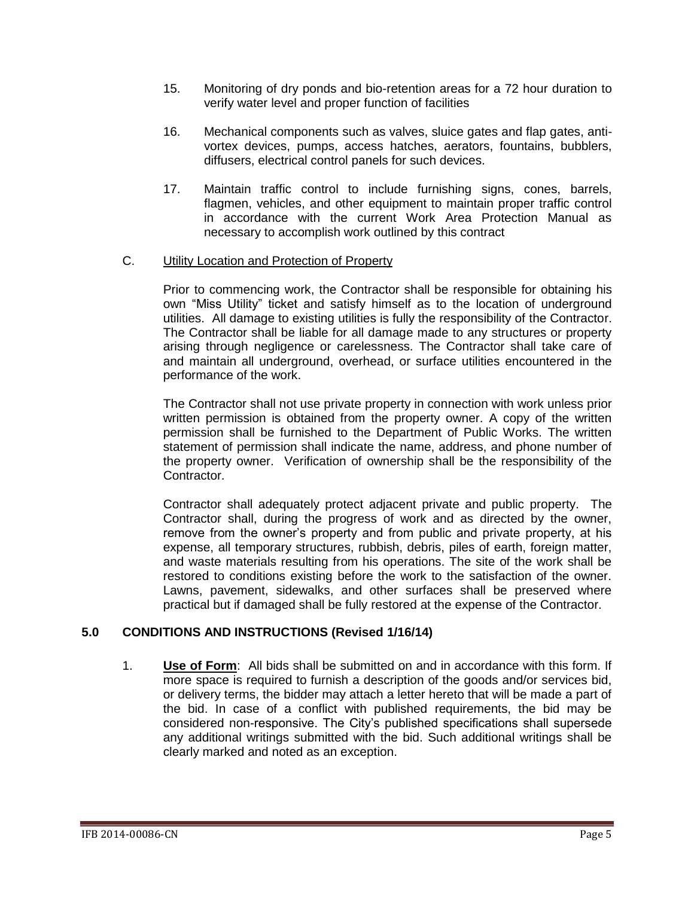- 15. Monitoring of dry ponds and bio-retention areas for a 72 hour duration to verify water level and proper function of facilities
- 16. Mechanical components such as valves, sluice gates and flap gates, antivortex devices, pumps, access hatches, aerators, fountains, bubblers, diffusers, electrical control panels for such devices.
- 17. Maintain traffic control to include furnishing signs, cones, barrels, flagmen, vehicles, and other equipment to maintain proper traffic control in accordance with the current Work Area Protection Manual as necessary to accomplish work outlined by this contract

#### C. Utility Location and Protection of Property

Prior to commencing work, the Contractor shall be responsible for obtaining his own "Miss Utility" ticket and satisfy himself as to the location of underground utilities. All damage to existing utilities is fully the responsibility of the Contractor. The Contractor shall be liable for all damage made to any structures or property arising through negligence or carelessness. The Contractor shall take care of and maintain all underground, overhead, or surface utilities encountered in the performance of the work.

The Contractor shall not use private property in connection with work unless prior written permission is obtained from the property owner. A copy of the written permission shall be furnished to the Department of Public Works. The written statement of permission shall indicate the name, address, and phone number of the property owner. Verification of ownership shall be the responsibility of the Contractor.

Contractor shall adequately protect adjacent private and public property. The Contractor shall, during the progress of work and as directed by the owner, remove from the owner's property and from public and private property, at his expense, all temporary structures, rubbish, debris, piles of earth, foreign matter, and waste materials resulting from his operations. The site of the work shall be restored to conditions existing before the work to the satisfaction of the owner. Lawns, pavement, sidewalks, and other surfaces shall be preserved where practical but if damaged shall be fully restored at the expense of the Contractor.

#### **5.0 CONDITIONS AND INSTRUCTIONS (Revised 1/16/14)**

1. **Use of Form**: All bids shall be submitted on and in accordance with this form. If more space is required to furnish a description of the goods and/or services bid, or delivery terms, the bidder may attach a letter hereto that will be made a part of the bid. In case of a conflict with published requirements, the bid may be considered non-responsive. The City's published specifications shall supersede any additional writings submitted with the bid. Such additional writings shall be clearly marked and noted as an exception.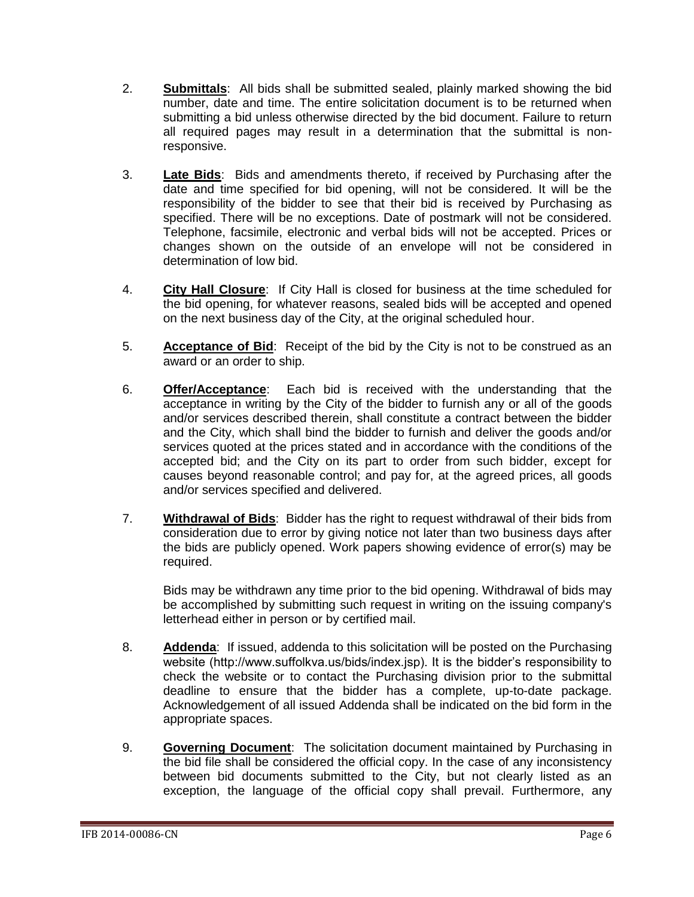- 2. **Submittals**: All bids shall be submitted sealed, plainly marked showing the bid number, date and time. The entire solicitation document is to be returned when submitting a bid unless otherwise directed by the bid document. Failure to return all required pages may result in a determination that the submittal is nonresponsive.
- 3. **Late Bids**: Bids and amendments thereto, if received by Purchasing after the date and time specified for bid opening, will not be considered. It will be the responsibility of the bidder to see that their bid is received by Purchasing as specified. There will be no exceptions. Date of postmark will not be considered. Telephone, facsimile, electronic and verbal bids will not be accepted. Prices or changes shown on the outside of an envelope will not be considered in determination of low bid.
- 4. **City Hall Closure**: If City Hall is closed for business at the time scheduled for the bid opening, for whatever reasons, sealed bids will be accepted and opened on the next business day of the City, at the original scheduled hour.
- 5. **Acceptance of Bid**: Receipt of the bid by the City is not to be construed as an award or an order to ship.
- 6. **Offer/Acceptance**: Each bid is received with the understanding that the acceptance in writing by the City of the bidder to furnish any or all of the goods and/or services described therein, shall constitute a contract between the bidder and the City, which shall bind the bidder to furnish and deliver the goods and/or services quoted at the prices stated and in accordance with the conditions of the accepted bid; and the City on its part to order from such bidder, except for causes beyond reasonable control; and pay for, at the agreed prices, all goods and/or services specified and delivered.
- 7. **Withdrawal of Bids**: Bidder has the right to request withdrawal of their bids from consideration due to error by giving notice not later than two business days after the bids are publicly opened. Work papers showing evidence of error(s) may be required.

Bids may be withdrawn any time prior to the bid opening. Withdrawal of bids may be accomplished by submitting such request in writing on the issuing company's letterhead either in person or by certified mail.

- 8. **Addenda**: If issued, addenda to this solicitation will be posted on the Purchasing website (http://www.suffolkva.us/bids/index.jsp). It is the bidder's responsibility to check the website or to contact the Purchasing division prior to the submittal deadline to ensure that the bidder has a complete, up-to-date package. Acknowledgement of all issued Addenda shall be indicated on the bid form in the appropriate spaces.
- 9. **Governing Document**: The solicitation document maintained by Purchasing in the bid file shall be considered the official copy. In the case of any inconsistency between bid documents submitted to the City, but not clearly listed as an exception, the language of the official copy shall prevail. Furthermore, any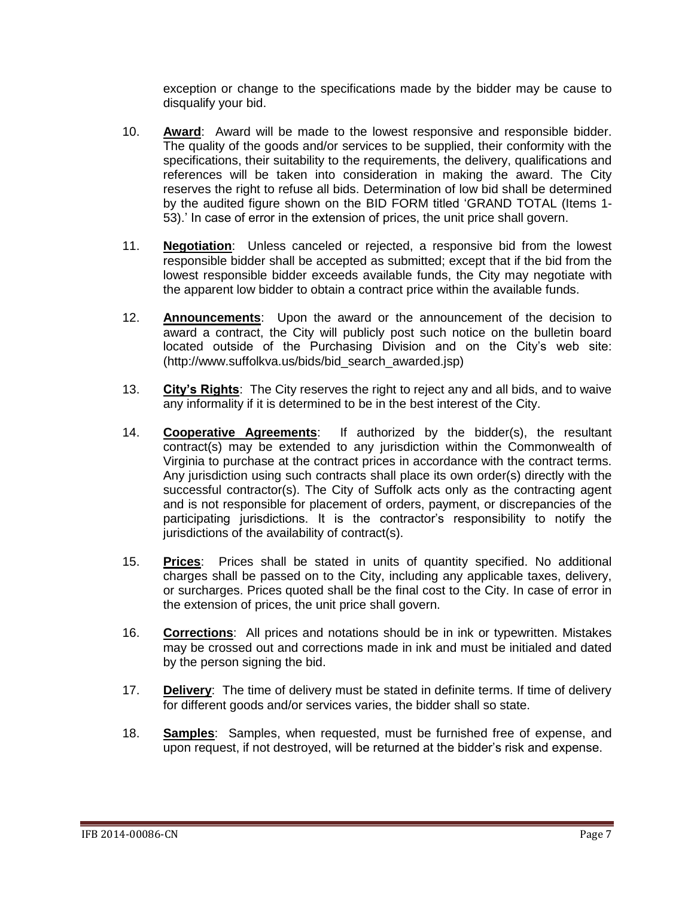exception or change to the specifications made by the bidder may be cause to disqualify your bid.

- 10. **Award**: Award will be made to the lowest responsive and responsible bidder. The quality of the goods and/or services to be supplied, their conformity with the specifications, their suitability to the requirements, the delivery, qualifications and references will be taken into consideration in making the award. The City reserves the right to refuse all bids. Determination of low bid shall be determined by the audited figure shown on the BID FORM titled 'GRAND TOTAL (Items 1- 53).' In case of error in the extension of prices, the unit price shall govern.
- 11. **Negotiation**: Unless canceled or rejected, a responsive bid from the lowest responsible bidder shall be accepted as submitted; except that if the bid from the lowest responsible bidder exceeds available funds, the City may negotiate with the apparent low bidder to obtain a contract price within the available funds.
- 12. **Announcements**: Upon the award or the announcement of the decision to award a contract, the City will publicly post such notice on the bulletin board located outside of the Purchasing Division and on the City's web site: (http://www.suffolkva.us/bids/bid\_search\_awarded.jsp)
- 13. **City's Rights**: The City reserves the right to reject any and all bids, and to waive any informality if it is determined to be in the best interest of the City.
- 14. **Cooperative Agreements**: If authorized by the bidder(s), the resultant contract(s) may be extended to any jurisdiction within the Commonwealth of Virginia to purchase at the contract prices in accordance with the contract terms. Any jurisdiction using such contracts shall place its own order(s) directly with the successful contractor(s). The City of Suffolk acts only as the contracting agent and is not responsible for placement of orders, payment, or discrepancies of the participating jurisdictions. It is the contractor's responsibility to notify the jurisdictions of the availability of contract(s).
- 15. **Prices**: Prices shall be stated in units of quantity specified. No additional charges shall be passed on to the City, including any applicable taxes, delivery, or surcharges. Prices quoted shall be the final cost to the City. In case of error in the extension of prices, the unit price shall govern.
- 16. **Corrections**: All prices and notations should be in ink or typewritten. Mistakes may be crossed out and corrections made in ink and must be initialed and dated by the person signing the bid.
- 17. **Delivery**: The time of delivery must be stated in definite terms. If time of delivery for different goods and/or services varies, the bidder shall so state.
- 18. **Samples**: Samples, when requested, must be furnished free of expense, and upon request, if not destroyed, will be returned at the bidder's risk and expense.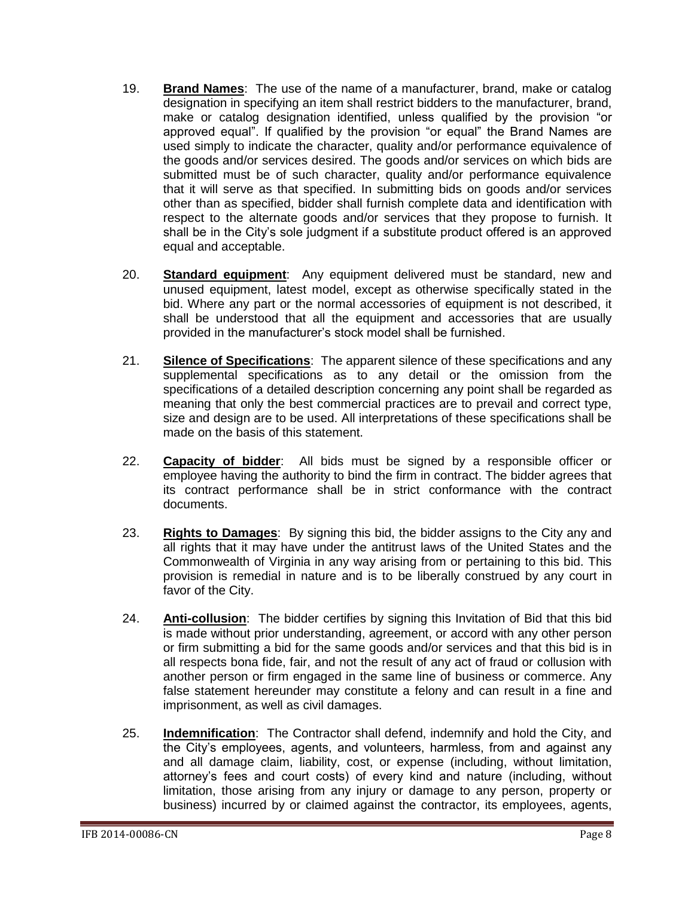- 19. **Brand Names**: The use of the name of a manufacturer, brand, make or catalog designation in specifying an item shall restrict bidders to the manufacturer, brand, make or catalog designation identified, unless qualified by the provision "or approved equal". If qualified by the provision "or equal" the Brand Names are used simply to indicate the character, quality and/or performance equivalence of the goods and/or services desired. The goods and/or services on which bids are submitted must be of such character, quality and/or performance equivalence that it will serve as that specified. In submitting bids on goods and/or services other than as specified, bidder shall furnish complete data and identification with respect to the alternate goods and/or services that they propose to furnish. It shall be in the City's sole judgment if a substitute product offered is an approved equal and acceptable.
- 20. **Standard equipment**: Any equipment delivered must be standard, new and unused equipment, latest model, except as otherwise specifically stated in the bid. Where any part or the normal accessories of equipment is not described, it shall be understood that all the equipment and accessories that are usually provided in the manufacturer's stock model shall be furnished.
- 21. **Silence of Specifications**: The apparent silence of these specifications and any supplemental specifications as to any detail or the omission from the specifications of a detailed description concerning any point shall be regarded as meaning that only the best commercial practices are to prevail and correct type, size and design are to be used. All interpretations of these specifications shall be made on the basis of this statement.
- 22. **Capacity of bidder**: All bids must be signed by a responsible officer or employee having the authority to bind the firm in contract. The bidder agrees that its contract performance shall be in strict conformance with the contract documents.
- 23. **Rights to Damages**: By signing this bid, the bidder assigns to the City any and all rights that it may have under the antitrust laws of the United States and the Commonwealth of Virginia in any way arising from or pertaining to this bid. This provision is remedial in nature and is to be liberally construed by any court in favor of the City.
- 24. **Anti-collusion**: The bidder certifies by signing this Invitation of Bid that this bid is made without prior understanding, agreement, or accord with any other person or firm submitting a bid for the same goods and/or services and that this bid is in all respects bona fide, fair, and not the result of any act of fraud or collusion with another person or firm engaged in the same line of business or commerce. Any false statement hereunder may constitute a felony and can result in a fine and imprisonment, as well as civil damages.
- 25. **Indemnification**: The Contractor shall defend, indemnify and hold the City, and the City's employees, agents, and volunteers, harmless, from and against any and all damage claim, liability, cost, or expense (including, without limitation, attorney's fees and court costs) of every kind and nature (including, without limitation, those arising from any injury or damage to any person, property or business) incurred by or claimed against the contractor, its employees, agents,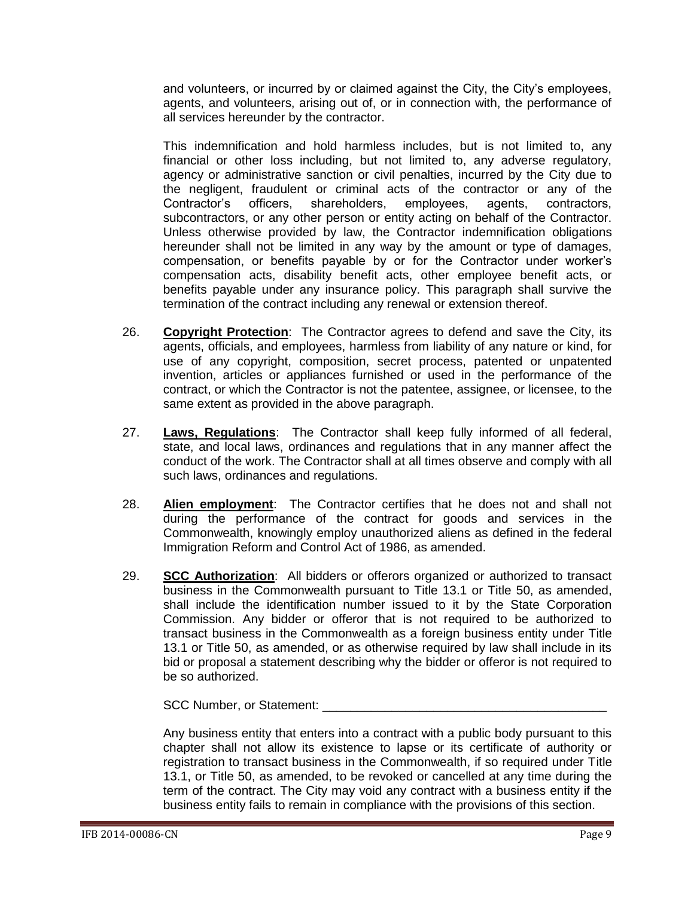and volunteers, or incurred by or claimed against the City, the City's employees, agents, and volunteers, arising out of, or in connection with, the performance of all services hereunder by the contractor.

This indemnification and hold harmless includes, but is not limited to, any financial or other loss including, but not limited to, any adverse regulatory, agency or administrative sanction or civil penalties, incurred by the City due to the negligent, fraudulent or criminal acts of the contractor or any of the Contractor's officers, shareholders, employees, agents, contractors, subcontractors, or any other person or entity acting on behalf of the Contractor. Unless otherwise provided by law, the Contractor indemnification obligations hereunder shall not be limited in any way by the amount or type of damages, compensation, or benefits payable by or for the Contractor under worker's compensation acts, disability benefit acts, other employee benefit acts, or benefits payable under any insurance policy. This paragraph shall survive the termination of the contract including any renewal or extension thereof.

- 26. **Copyright Protection**: The Contractor agrees to defend and save the City, its agents, officials, and employees, harmless from liability of any nature or kind, for use of any copyright, composition, secret process, patented or unpatented invention, articles or appliances furnished or used in the performance of the contract, or which the Contractor is not the patentee, assignee, or licensee, to the same extent as provided in the above paragraph.
- 27. **Laws, Regulations**: The Contractor shall keep fully informed of all federal, state, and local laws, ordinances and regulations that in any manner affect the conduct of the work. The Contractor shall at all times observe and comply with all such laws, ordinances and regulations.
- 28. **Alien employment**: The Contractor certifies that he does not and shall not during the performance of the contract for goods and services in the Commonwealth, knowingly employ unauthorized aliens as defined in the federal Immigration Reform and Control Act of 1986, as amended.
- 29. **SCC Authorization**: All bidders or offerors organized or authorized to transact business in the Commonwealth pursuant to Title 13.1 or Title 50, as amended, shall include the identification number issued to it by the State Corporation Commission. Any bidder or offeror that is not required to be authorized to transact business in the Commonwealth as a foreign business entity under Title 13.1 or Title 50, as amended, or as otherwise required by law shall include in its bid or proposal a statement describing why the bidder or offeror is not required to be so authorized.

SCC Number, or Statement:

Any business entity that enters into a contract with a public body pursuant to this chapter shall not allow its existence to lapse or its certificate of authority or registration to transact business in the Commonwealth, if so required under Title 13.1, or Title 50, as amended, to be revoked or cancelled at any time during the term of the contract. The City may void any contract with a business entity if the business entity fails to remain in compliance with the provisions of this section.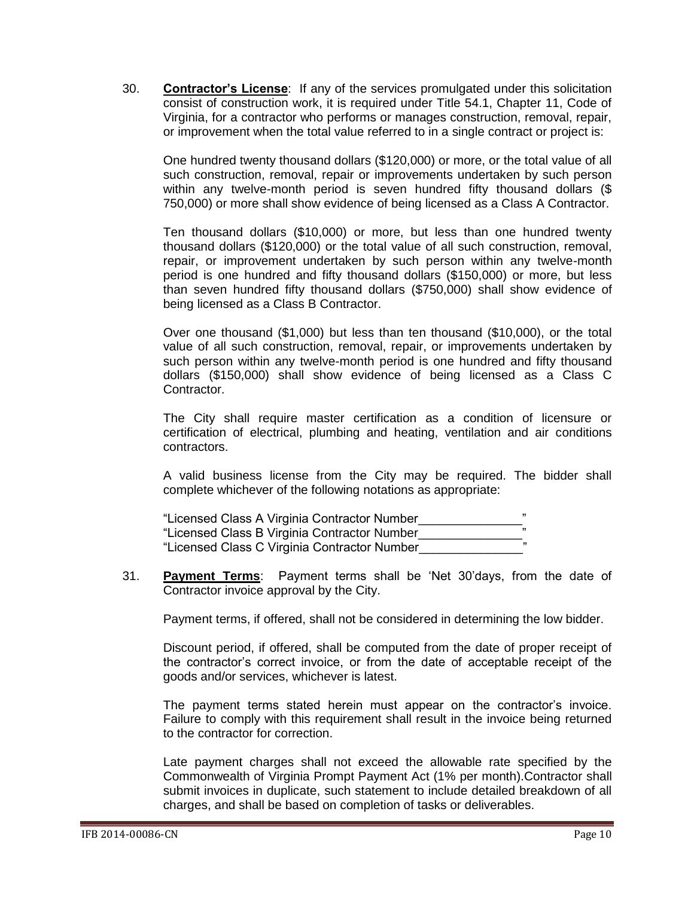30. **Contractor's License**: If any of the services promulgated under this solicitation consist of construction work, it is required under Title 54.1, Chapter 11, Code of Virginia, for a contractor who performs or manages construction, removal, repair, or improvement when the total value referred to in a single contract or project is:

One hundred twenty thousand dollars (\$120,000) or more, or the total value of all such construction, removal, repair or improvements undertaken by such person within any twelve-month period is seven hundred fifty thousand dollars (\$ 750,000) or more shall show evidence of being licensed as a Class A Contractor.

Ten thousand dollars (\$10,000) or more, but less than one hundred twenty thousand dollars (\$120,000) or the total value of all such construction, removal, repair, or improvement undertaken by such person within any twelve-month period is one hundred and fifty thousand dollars (\$150,000) or more, but less than seven hundred fifty thousand dollars (\$750,000) shall show evidence of being licensed as a Class B Contractor.

Over one thousand (\$1,000) but less than ten thousand (\$10,000), or the total value of all such construction, removal, repair, or improvements undertaken by such person within any twelve-month period is one hundred and fifty thousand dollars (\$150,000) shall show evidence of being licensed as a Class C Contractor.

The City shall require master certification as a condition of licensure or certification of electrical, plumbing and heating, ventilation and air conditions contractors.

A valid business license from the City may be required. The bidder shall complete whichever of the following notations as appropriate:

"Licensed Class A Virginia Contractor Number\_\_\_\_\_\_\_\_\_\_\_\_\_\_\_" "Licensed Class B Virginia Contractor Number\_\_\_\_\_\_\_\_\_\_\_\_\_\_\_" "Licensed Class C Virginia Contractor Number\_\_\_\_\_\_\_\_\_\_\_\_\_\_\_"

31. **Payment Terms**: Payment terms shall be 'Net 30'days, from the date of Contractor invoice approval by the City.

Payment terms, if offered, shall not be considered in determining the low bidder.

Discount period, if offered, shall be computed from the date of proper receipt of the contractor's correct invoice, or from the date of acceptable receipt of the goods and/or services, whichever is latest.

The payment terms stated herein must appear on the contractor's invoice. Failure to comply with this requirement shall result in the invoice being returned to the contractor for correction.

Late payment charges shall not exceed the allowable rate specified by the Commonwealth of Virginia Prompt Payment Act (1% per month).Contractor shall submit invoices in duplicate, such statement to include detailed breakdown of all charges, and shall be based on completion of tasks or deliverables.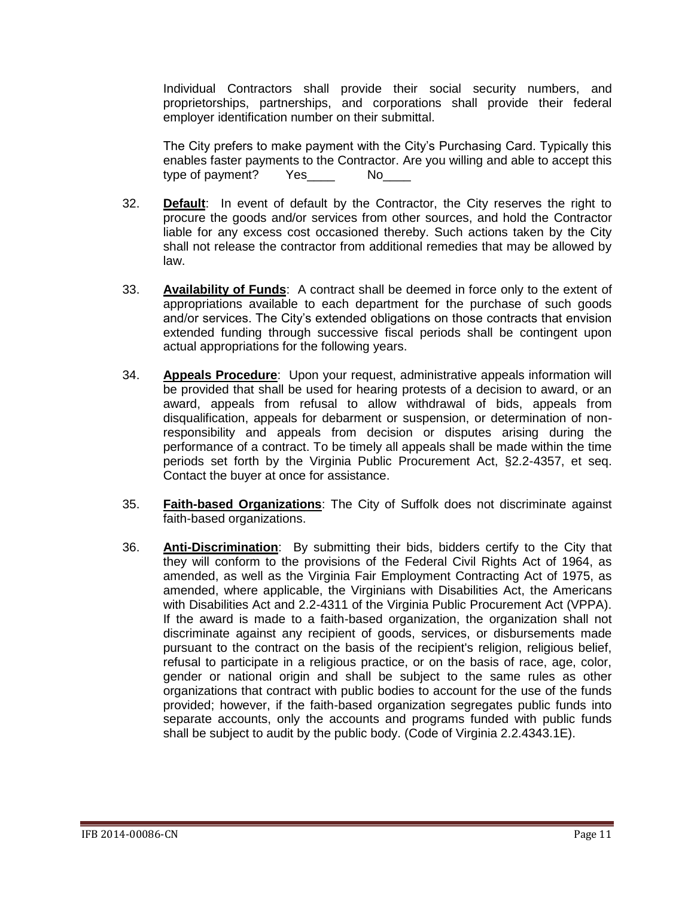Individual Contractors shall provide their social security numbers, and proprietorships, partnerships, and corporations shall provide their federal employer identification number on their submittal.

The City prefers to make payment with the City's Purchasing Card. Typically this enables faster payments to the Contractor. Are you willing and able to accept this type of payment? Yes\_\_\_\_\_\_\_\_\_ No\_

- 32. **Default**: In event of default by the Contractor, the City reserves the right to procure the goods and/or services from other sources, and hold the Contractor liable for any excess cost occasioned thereby. Such actions taken by the City shall not release the contractor from additional remedies that may be allowed by law.
- 33. **Availability of Funds**: A contract shall be deemed in force only to the extent of appropriations available to each department for the purchase of such goods and/or services. The City's extended obligations on those contracts that envision extended funding through successive fiscal periods shall be contingent upon actual appropriations for the following years.
- 34. **Appeals Procedure**: Upon your request, administrative appeals information will be provided that shall be used for hearing protests of a decision to award, or an award, appeals from refusal to allow withdrawal of bids, appeals from disqualification, appeals for debarment or suspension, or determination of nonresponsibility and appeals from decision or disputes arising during the performance of a contract. To be timely all appeals shall be made within the time periods set forth by the Virginia Public Procurement Act, §2.2-4357, et seq. Contact the buyer at once for assistance.
- 35. **Faith-based Organizations**: The City of Suffolk does not discriminate against faith-based organizations.
- 36. **Anti-Discrimination**: By submitting their bids, bidders certify to the City that they will conform to the provisions of the Federal Civil Rights Act of 1964, as amended, as well as the Virginia Fair Employment Contracting Act of 1975, as amended, where applicable, the Virginians with Disabilities Act, the Americans with Disabilities Act and 2.2-4311 of the Virginia Public Procurement Act (VPPA). If the award is made to a faith-based organization, the organization shall not discriminate against any recipient of goods, services, or disbursements made pursuant to the contract on the basis of the recipient's religion, religious belief, refusal to participate in a religious practice, or on the basis of race, age, color, gender or national origin and shall be subject to the same rules as other organizations that contract with public bodies to account for the use of the funds provided; however, if the faith-based organization segregates public funds into separate accounts, only the accounts and programs funded with public funds shall be subject to audit by the public body. (Code of Virginia 2.2.4343.1E).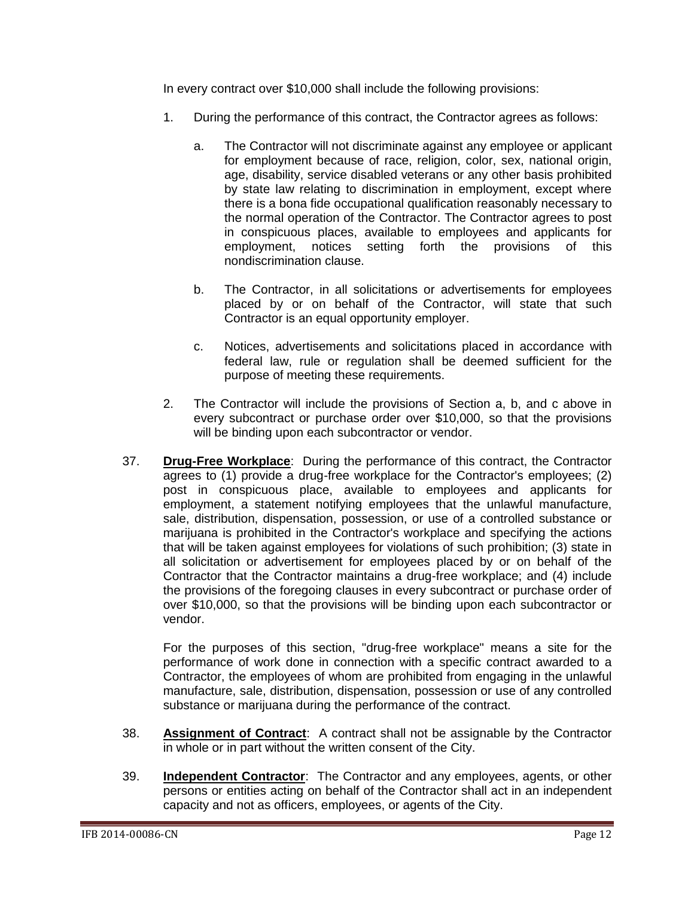In every contract over \$10,000 shall include the following provisions:

- 1. During the performance of this contract, the Contractor agrees as follows:
	- a. The Contractor will not discriminate against any employee or applicant for employment because of race, religion, color, sex, national origin, age, disability, service disabled veterans or any other basis prohibited by state law relating to discrimination in employment, except where there is a bona fide occupational qualification reasonably necessary to the normal operation of the Contractor. The Contractor agrees to post in conspicuous places, available to employees and applicants for employment, notices setting forth the provisions of this nondiscrimination clause.
	- b. The Contractor, in all solicitations or advertisements for employees placed by or on behalf of the Contractor, will state that such Contractor is an equal opportunity employer.
	- c. Notices, advertisements and solicitations placed in accordance with federal law, rule or regulation shall be deemed sufficient for the purpose of meeting these requirements.
- 2. The Contractor will include the provisions of Section a, b, and c above in every subcontract or purchase order over \$10,000, so that the provisions will be binding upon each subcontractor or vendor.
- 37. **Drug-Free Workplace**: During the performance of this contract, the Contractor agrees to (1) provide a drug-free workplace for the Contractor's employees; (2) post in conspicuous place, available to employees and applicants for employment, a statement notifying employees that the unlawful manufacture, sale, distribution, dispensation, possession, or use of a controlled substance or marijuana is prohibited in the Contractor's workplace and specifying the actions that will be taken against employees for violations of such prohibition; (3) state in all solicitation or advertisement for employees placed by or on behalf of the Contractor that the Contractor maintains a drug-free workplace; and (4) include the provisions of the foregoing clauses in every subcontract or purchase order of over \$10,000, so that the provisions will be binding upon each subcontractor or vendor.

For the purposes of this section, "drug-free workplace" means a site for the performance of work done in connection with a specific contract awarded to a Contractor, the employees of whom are prohibited from engaging in the unlawful manufacture, sale, distribution, dispensation, possession or use of any controlled substance or marijuana during the performance of the contract.

- 38. **Assignment of Contract**: A contract shall not be assignable by the Contractor in whole or in part without the written consent of the City.
- 39. **Independent Contractor**: The Contractor and any employees, agents, or other persons or entities acting on behalf of the Contractor shall act in an independent capacity and not as officers, employees, or agents of the City.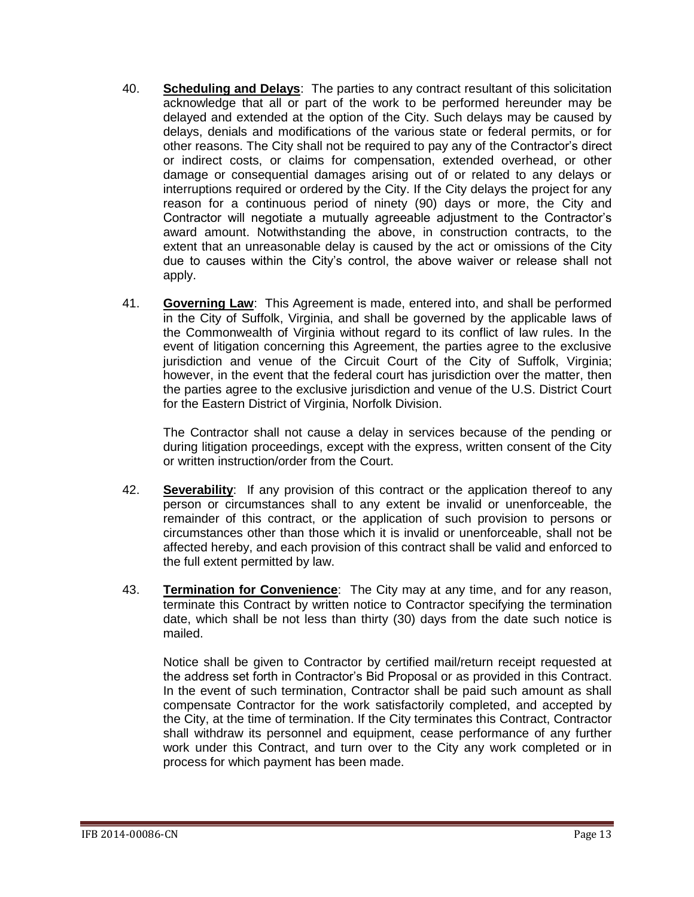- 40. **Scheduling and Delays**: The parties to any contract resultant of this solicitation acknowledge that all or part of the work to be performed hereunder may be delayed and extended at the option of the City. Such delays may be caused by delays, denials and modifications of the various state or federal permits, or for other reasons. The City shall not be required to pay any of the Contractor's direct or indirect costs, or claims for compensation, extended overhead, or other damage or consequential damages arising out of or related to any delays or interruptions required or ordered by the City. If the City delays the project for any reason for a continuous period of ninety (90) days or more, the City and Contractor will negotiate a mutually agreeable adjustment to the Contractor's award amount. Notwithstanding the above, in construction contracts, to the extent that an unreasonable delay is caused by the act or omissions of the City due to causes within the City's control, the above waiver or release shall not apply.
- 41. **Governing Law**: This Agreement is made, entered into, and shall be performed in the City of Suffolk, Virginia, and shall be governed by the applicable laws of the Commonwealth of Virginia without regard to its conflict of law rules. In the event of litigation concerning this Agreement, the parties agree to the exclusive jurisdiction and venue of the Circuit Court of the City of Suffolk, Virginia; however, in the event that the federal court has jurisdiction over the matter, then the parties agree to the exclusive jurisdiction and venue of the U.S. District Court for the Eastern District of Virginia, Norfolk Division.

The Contractor shall not cause a delay in services because of the pending or during litigation proceedings, except with the express, written consent of the City or written instruction/order from the Court.

- 42. **Severability**: If any provision of this contract or the application thereof to any person or circumstances shall to any extent be invalid or unenforceable, the remainder of this contract, or the application of such provision to persons or circumstances other than those which it is invalid or unenforceable, shall not be affected hereby, and each provision of this contract shall be valid and enforced to the full extent permitted by law.
- 43. **Termination for Convenience**: The City may at any time, and for any reason, terminate this Contract by written notice to Contractor specifying the termination date, which shall be not less than thirty (30) days from the date such notice is mailed.

Notice shall be given to Contractor by certified mail/return receipt requested at the address set forth in Contractor's Bid Proposal or as provided in this Contract. In the event of such termination, Contractor shall be paid such amount as shall compensate Contractor for the work satisfactorily completed, and accepted by the City, at the time of termination. If the City terminates this Contract, Contractor shall withdraw its personnel and equipment, cease performance of any further work under this Contract, and turn over to the City any work completed or in process for which payment has been made.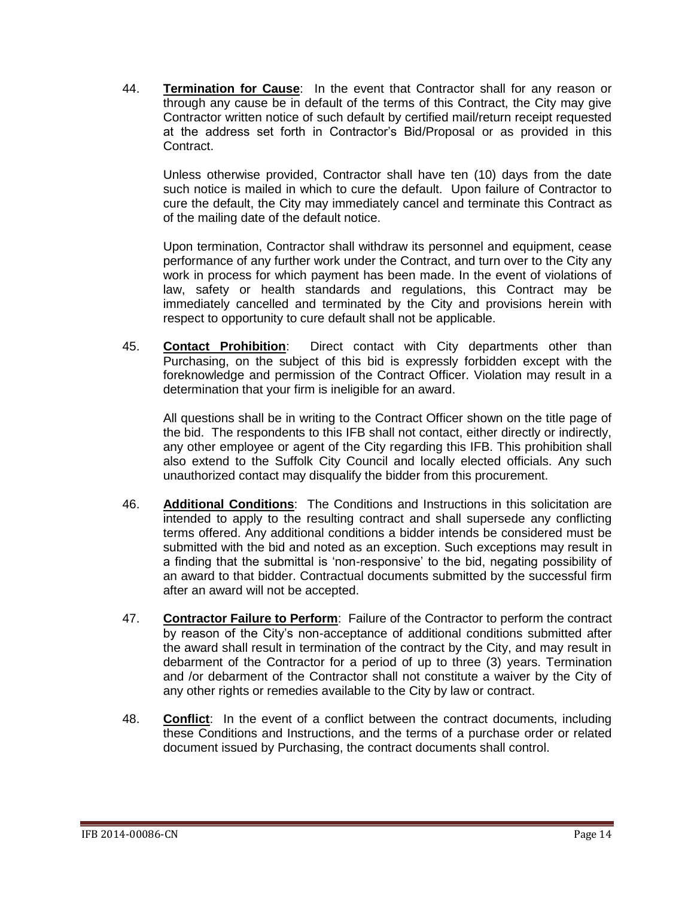44. **Termination for Cause**: In the event that Contractor shall for any reason or through any cause be in default of the terms of this Contract, the City may give Contractor written notice of such default by certified mail/return receipt requested at the address set forth in Contractor's Bid/Proposal or as provided in this Contract.

Unless otherwise provided, Contractor shall have ten (10) days from the date such notice is mailed in which to cure the default. Upon failure of Contractor to cure the default, the City may immediately cancel and terminate this Contract as of the mailing date of the default notice.

Upon termination, Contractor shall withdraw its personnel and equipment, cease performance of any further work under the Contract, and turn over to the City any work in process for which payment has been made. In the event of violations of law, safety or health standards and regulations, this Contract may be immediately cancelled and terminated by the City and provisions herein with respect to opportunity to cure default shall not be applicable.

45. **Contact Prohibition**: Direct contact with City departments other than Purchasing, on the subject of this bid is expressly forbidden except with the foreknowledge and permission of the Contract Officer. Violation may result in a determination that your firm is ineligible for an award.

All questions shall be in writing to the Contract Officer shown on the title page of the bid. The respondents to this IFB shall not contact, either directly or indirectly, any other employee or agent of the City regarding this IFB. This prohibition shall also extend to the Suffolk City Council and locally elected officials. Any such unauthorized contact may disqualify the bidder from this procurement.

- 46. **Additional Conditions**: The Conditions and Instructions in this solicitation are intended to apply to the resulting contract and shall supersede any conflicting terms offered. Any additional conditions a bidder intends be considered must be submitted with the bid and noted as an exception. Such exceptions may result in a finding that the submittal is 'non-responsive' to the bid, negating possibility of an award to that bidder. Contractual documents submitted by the successful firm after an award will not be accepted.
- 47. **Contractor Failure to Perform**: Failure of the Contractor to perform the contract by reason of the City's non-acceptance of additional conditions submitted after the award shall result in termination of the contract by the City, and may result in debarment of the Contractor for a period of up to three (3) years. Termination and /or debarment of the Contractor shall not constitute a waiver by the City of any other rights or remedies available to the City by law or contract.
- 48. **Conflict**: In the event of a conflict between the contract documents, including these Conditions and Instructions, and the terms of a purchase order or related document issued by Purchasing, the contract documents shall control.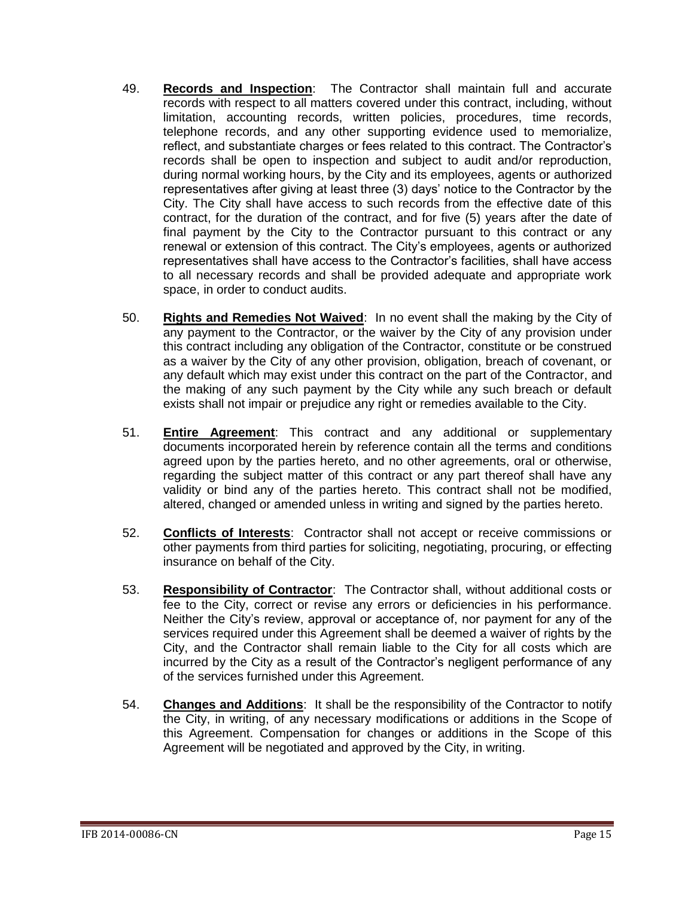- 49. **Records and Inspection**: The Contractor shall maintain full and accurate records with respect to all matters covered under this contract, including, without limitation, accounting records, written policies, procedures, time records, telephone records, and any other supporting evidence used to memorialize, reflect, and substantiate charges or fees related to this contract. The Contractor's records shall be open to inspection and subject to audit and/or reproduction, during normal working hours, by the City and its employees, agents or authorized representatives after giving at least three (3) days' notice to the Contractor by the City. The City shall have access to such records from the effective date of this contract, for the duration of the contract, and for five (5) years after the date of final payment by the City to the Contractor pursuant to this contract or any renewal or extension of this contract. The City's employees, agents or authorized representatives shall have access to the Contractor's facilities, shall have access to all necessary records and shall be provided adequate and appropriate work space, in order to conduct audits.
- 50. **Rights and Remedies Not Waived**: In no event shall the making by the City of any payment to the Contractor, or the waiver by the City of any provision under this contract including any obligation of the Contractor, constitute or be construed as a waiver by the City of any other provision, obligation, breach of covenant, or any default which may exist under this contract on the part of the Contractor, and the making of any such payment by the City while any such breach or default exists shall not impair or prejudice any right or remedies available to the City.
- 51. **Entire Agreement**: This contract and any additional or supplementary documents incorporated herein by reference contain all the terms and conditions agreed upon by the parties hereto, and no other agreements, oral or otherwise, regarding the subject matter of this contract or any part thereof shall have any validity or bind any of the parties hereto. This contract shall not be modified, altered, changed or amended unless in writing and signed by the parties hereto.
- 52. **Conflicts of Interests**: Contractor shall not accept or receive commissions or other payments from third parties for soliciting, negotiating, procuring, or effecting insurance on behalf of the City.
- 53. **Responsibility of Contractor**: The Contractor shall, without additional costs or fee to the City, correct or revise any errors or deficiencies in his performance. Neither the City's review, approval or acceptance of, nor payment for any of the services required under this Agreement shall be deemed a waiver of rights by the City, and the Contractor shall remain liable to the City for all costs which are incurred by the City as a result of the Contractor's negligent performance of any of the services furnished under this Agreement.
- 54. **Changes and Additions**: It shall be the responsibility of the Contractor to notify the City, in writing, of any necessary modifications or additions in the Scope of this Agreement. Compensation for changes or additions in the Scope of this Agreement will be negotiated and approved by the City, in writing.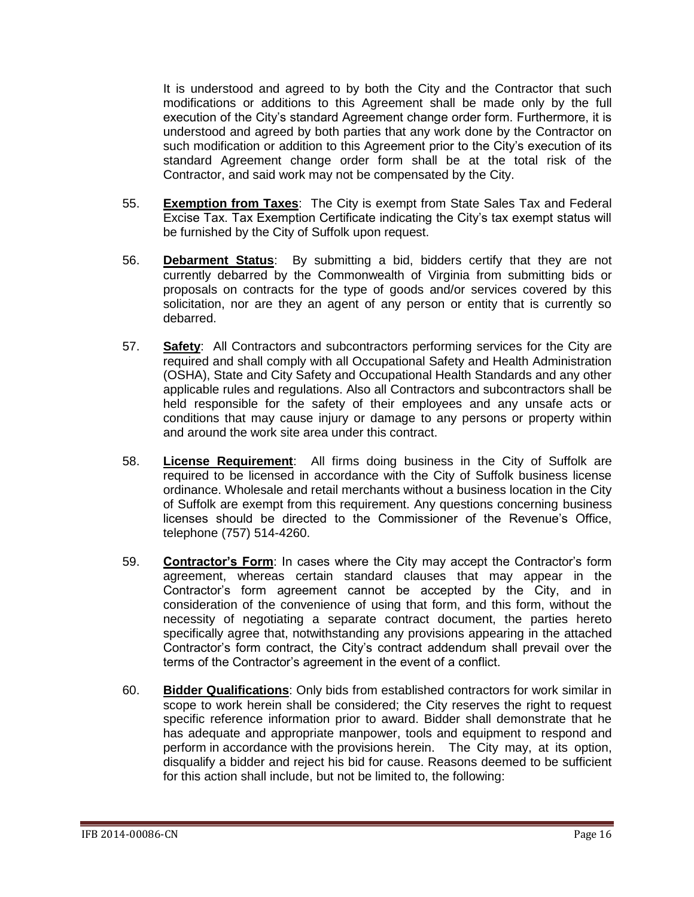It is understood and agreed to by both the City and the Contractor that such modifications or additions to this Agreement shall be made only by the full execution of the City's standard Agreement change order form. Furthermore, it is understood and agreed by both parties that any work done by the Contractor on such modification or addition to this Agreement prior to the City's execution of its standard Agreement change order form shall be at the total risk of the Contractor, and said work may not be compensated by the City.

- 55. **Exemption from Taxes**: The City is exempt from State Sales Tax and Federal Excise Tax. Tax Exemption Certificate indicating the City's tax exempt status will be furnished by the City of Suffolk upon request.
- 56. **Debarment Status**: By submitting a bid, bidders certify that they are not currently debarred by the Commonwealth of Virginia from submitting bids or proposals on contracts for the type of goods and/or services covered by this solicitation, nor are they an agent of any person or entity that is currently so debarred.
- 57. **Safety**: All Contractors and subcontractors performing services for the City are required and shall comply with all Occupational Safety and Health Administration (OSHA), State and City Safety and Occupational Health Standards and any other applicable rules and regulations. Also all Contractors and subcontractors shall be held responsible for the safety of their employees and any unsafe acts or conditions that may cause injury or damage to any persons or property within and around the work site area under this contract.
- 58. **License Requirement**: All firms doing business in the City of Suffolk are required to be licensed in accordance with the City of Suffolk business license ordinance. Wholesale and retail merchants without a business location in the City of Suffolk are exempt from this requirement. Any questions concerning business licenses should be directed to the Commissioner of the Revenue's Office, telephone (757) 514-4260.
- 59. **Contractor's Form**: In cases where the City may accept the Contractor's form agreement, whereas certain standard clauses that may appear in the Contractor's form agreement cannot be accepted by the City, and in consideration of the convenience of using that form, and this form, without the necessity of negotiating a separate contract document, the parties hereto specifically agree that, notwithstanding any provisions appearing in the attached Contractor's form contract, the City's contract addendum shall prevail over the terms of the Contractor's agreement in the event of a conflict.
- 60. **Bidder Qualifications**: Only bids from established contractors for work similar in scope to work herein shall be considered; the City reserves the right to request specific reference information prior to award. Bidder shall demonstrate that he has adequate and appropriate manpower, tools and equipment to respond and perform in accordance with the provisions herein. The City may, at its option, disqualify a bidder and reject his bid for cause. Reasons deemed to be sufficient for this action shall include, but not be limited to, the following: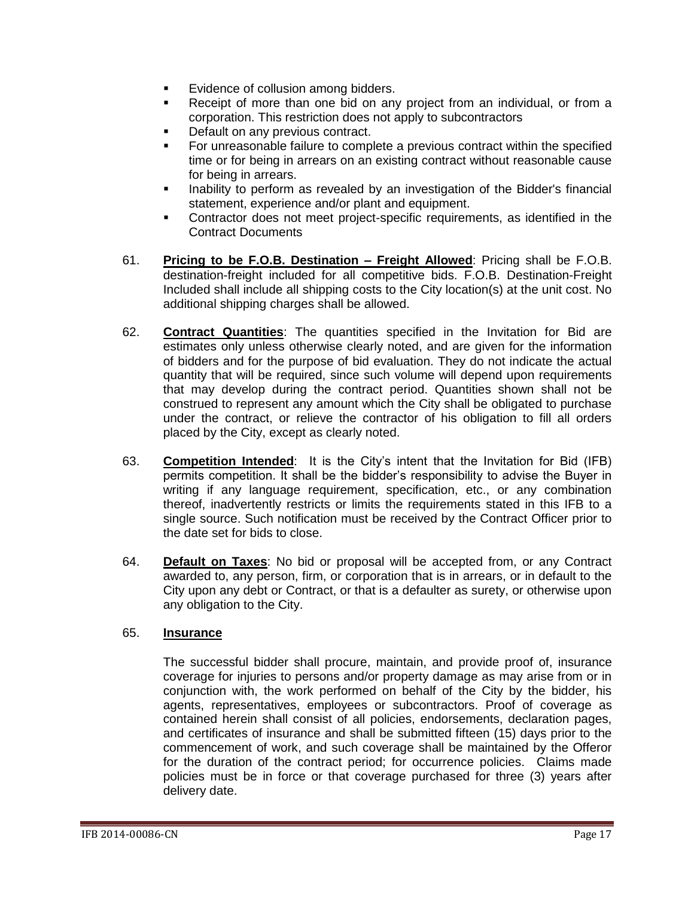- Evidence of collusion among bidders.
- Receipt of more than one bid on any project from an individual, or from a corporation. This restriction does not apply to subcontractors
- Default on any previous contract.
- For unreasonable failure to complete a previous contract within the specified time or for being in arrears on an existing contract without reasonable cause for being in arrears.
- Inability to perform as revealed by an investigation of the Bidder's financial statement, experience and/or plant and equipment.
- Contractor does not meet project-specific requirements, as identified in the Contract Documents
- 61. **Pricing to be F.O.B. Destination – Freight Allowed**: Pricing shall be F.O.B. destination-freight included for all competitive bids. F.O.B. Destination-Freight Included shall include all shipping costs to the City location(s) at the unit cost. No additional shipping charges shall be allowed.
- 62. **Contract Quantities**: The quantities specified in the Invitation for Bid are estimates only unless otherwise clearly noted, and are given for the information of bidders and for the purpose of bid evaluation. They do not indicate the actual quantity that will be required, since such volume will depend upon requirements that may develop during the contract period. Quantities shown shall not be construed to represent any amount which the City shall be obligated to purchase under the contract, or relieve the contractor of his obligation to fill all orders placed by the City, except as clearly noted.
- 63. **Competition Intended**: It is the City's intent that the Invitation for Bid (IFB) permits competition. It shall be the bidder's responsibility to advise the Buyer in writing if any language requirement, specification, etc., or any combination thereof, inadvertently restricts or limits the requirements stated in this IFB to a single source. Such notification must be received by the Contract Officer prior to the date set for bids to close.
- 64. **Default on Taxes**: No bid or proposal will be accepted from, or any Contract awarded to, any person, firm, or corporation that is in arrears, or in default to the City upon any debt or Contract, or that is a defaulter as surety, or otherwise upon any obligation to the City.

#### 65. **Insurance**

The successful bidder shall procure, maintain, and provide proof of, insurance coverage for injuries to persons and/or property damage as may arise from or in conjunction with, the work performed on behalf of the City by the bidder, his agents, representatives, employees or subcontractors. Proof of coverage as contained herein shall consist of all policies, endorsements, declaration pages, and certificates of insurance and shall be submitted fifteen (15) days prior to the commencement of work, and such coverage shall be maintained by the Offeror for the duration of the contract period; for occurrence policies. Claims made policies must be in force or that coverage purchased for three (3) years after delivery date.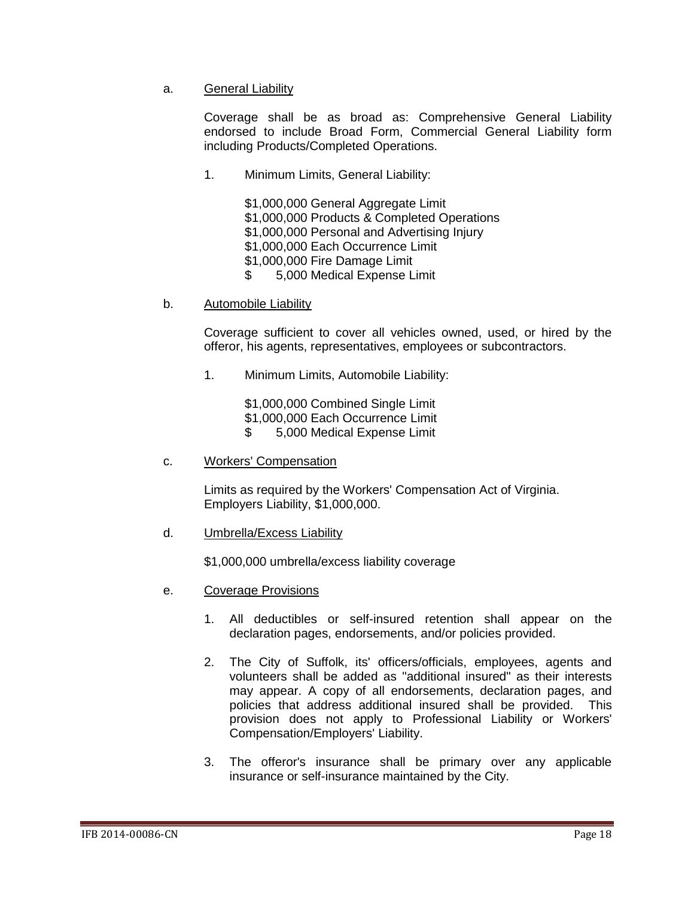#### a. General Liability

Coverage shall be as broad as: Comprehensive General Liability endorsed to include Broad Form, Commercial General Liability form including Products/Completed Operations.

1. Minimum Limits, General Liability:

\$1,000,000 General Aggregate Limit \$1,000,000 Products & Completed Operations \$1,000,000 Personal and Advertising Injury \$1,000,000 Each Occurrence Limit \$1,000,000 Fire Damage Limit \$ 5,000 Medical Expense Limit

b. Automobile Liability

Coverage sufficient to cover all vehicles owned, used, or hired by the offeror, his agents, representatives, employees or subcontractors.

1. Minimum Limits, Automobile Liability:

\$1,000,000 Combined Single Limit \$1,000,000 Each Occurrence Limit \$ 5,000 Medical Expense Limit

c. Workers' Compensation

Limits as required by the Workers' Compensation Act of Virginia. Employers Liability, \$1,000,000.

d. Umbrella/Excess Liability

\$1,000,000 umbrella/excess liability coverage

- e. Coverage Provisions
	- 1. All deductibles or self-insured retention shall appear on the declaration pages, endorsements, and/or policies provided.
	- 2. The City of Suffolk, its' officers/officials, employees, agents and volunteers shall be added as "additional insured" as their interests may appear. A copy of all endorsements, declaration pages, and policies that address additional insured shall be provided. This provision does not apply to Professional Liability or Workers' Compensation/Employers' Liability.
	- 3. The offeror's insurance shall be primary over any applicable insurance or self-insurance maintained by the City.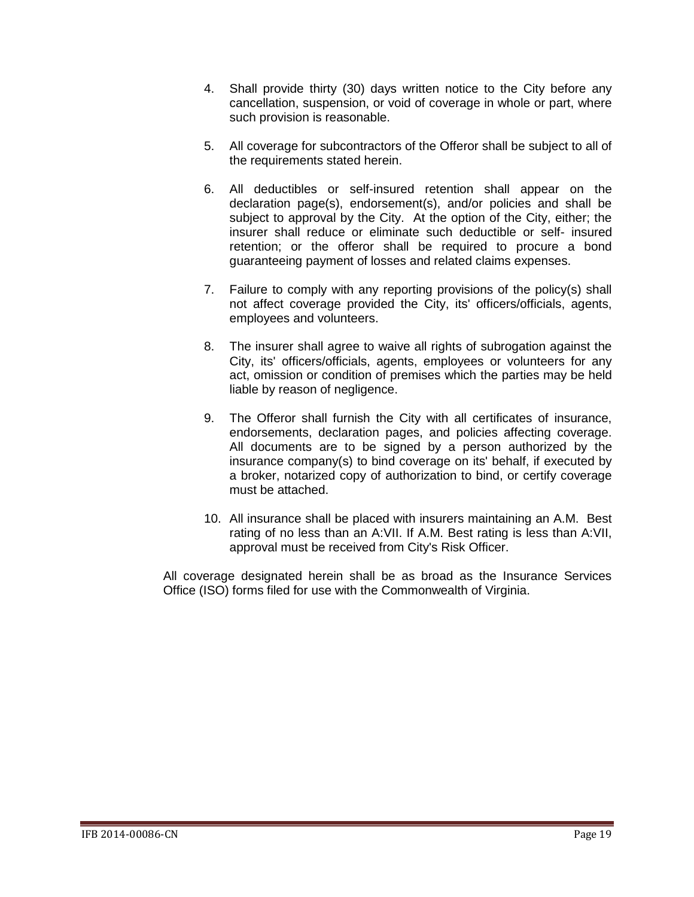- 4. Shall provide thirty (30) days written notice to the City before any cancellation, suspension, or void of coverage in whole or part, where such provision is reasonable.
- 5. All coverage for subcontractors of the Offeror shall be subject to all of the requirements stated herein.
- 6. All deductibles or self-insured retention shall appear on the declaration page(s), endorsement(s), and/or policies and shall be subject to approval by the City. At the option of the City, either; the insurer shall reduce or eliminate such deductible or self- insured retention; or the offeror shall be required to procure a bond guaranteeing payment of losses and related claims expenses.
- 7. Failure to comply with any reporting provisions of the policy(s) shall not affect coverage provided the City, its' officers/officials, agents, employees and volunteers.
- 8. The insurer shall agree to waive all rights of subrogation against the City, its' officers/officials, agents, employees or volunteers for any act, omission or condition of premises which the parties may be held liable by reason of negligence.
- 9. The Offeror shall furnish the City with all certificates of insurance, endorsements, declaration pages, and policies affecting coverage. All documents are to be signed by a person authorized by the insurance company(s) to bind coverage on its' behalf, if executed by a broker, notarized copy of authorization to bind, or certify coverage must be attached.
- 10. All insurance shall be placed with insurers maintaining an A.M. Best rating of no less than an A:VII. If A.M. Best rating is less than A:VII, approval must be received from City's Risk Officer.

All coverage designated herein shall be as broad as the Insurance Services Office (ISO) forms filed for use with the Commonwealth of Virginia.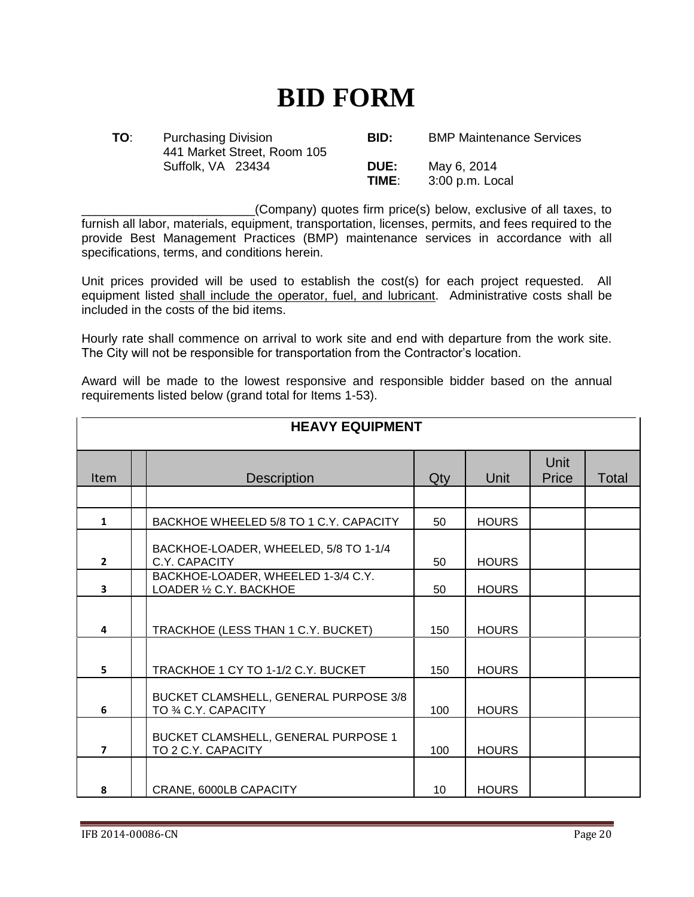# **BID FORM**

| TO: | <b>Purchasing Division</b><br>441 Market Street, Room 105 | BID:                 | <b>BMP Maintenance Services</b> |
|-----|-----------------------------------------------------------|----------------------|---------------------------------|
|     | Suffolk, VA 23434                                         | <b>DUE:</b><br>TIME: | May 6, 2014<br>3:00 p.m. Local  |

\_\_\_\_\_\_\_\_\_\_\_\_\_\_\_\_\_\_\_\_\_\_\_\_\_(Company) quotes firm price(s) below, exclusive of all taxes, to furnish all labor, materials, equipment, transportation, licenses, permits, and fees required to the provide Best Management Practices (BMP) maintenance services in accordance with all specifications, terms, and conditions herein.

Unit prices provided will be used to establish the cost(s) for each project requested. All equipment listed shall include the operator, fuel, and lubricant. Administrative costs shall be included in the costs of the bid items.

Hourly rate shall commence on arrival to work site and end with departure from the work site. The City will not be responsible for transportation from the Contractor's location.

Award will be made to the lowest responsive and responsible bidder based on the annual requirements listed below (grand total for Items 1-53).

| <b>HEAVY EQUIPMENT</b>  |                                                               |     |              |               |       |
|-------------------------|---------------------------------------------------------------|-----|--------------|---------------|-------|
| Item                    | <b>Description</b>                                            | Qty | Unit         | Unit<br>Price | Total |
|                         |                                                               |     |              |               |       |
| $\mathbf{1}$            | BACKHOE WHEELED 5/8 TO 1 C.Y. CAPACITY                        | 50  | <b>HOURS</b> |               |       |
| $\overline{2}$          | BACKHOE-LOADER, WHEELED, 5/8 TO 1-1/4<br>C.Y. CAPACITY        | 50  | <b>HOURS</b> |               |       |
| $\overline{\mathbf{3}}$ | BACKHOE-LOADER, WHEELED 1-3/4 C.Y.<br>LOADER 1/2 C.Y. BACKHOE | 50  | <b>HOURS</b> |               |       |
| 4                       | TRACKHOE (LESS THAN 1 C.Y. BUCKET)                            | 150 | <b>HOURS</b> |               |       |
| 5                       | TRACKHOE 1 CY TO 1-1/2 C.Y. BUCKET                            | 150 | <b>HOURS</b> |               |       |
| 6                       | BUCKET CLAMSHELL, GENERAL PURPOSE 3/8<br>TO 34 C.Y. CAPACITY  | 100 | <b>HOURS</b> |               |       |
| $\overline{\mathbf{z}}$ | BUCKET CLAMSHELL, GENERAL PURPOSE 1<br>TO 2 C.Y. CAPACITY     | 100 | <b>HOURS</b> |               |       |
| 8                       | CRANE, 6000LB CAPACITY                                        | 10  | <b>HOURS</b> |               |       |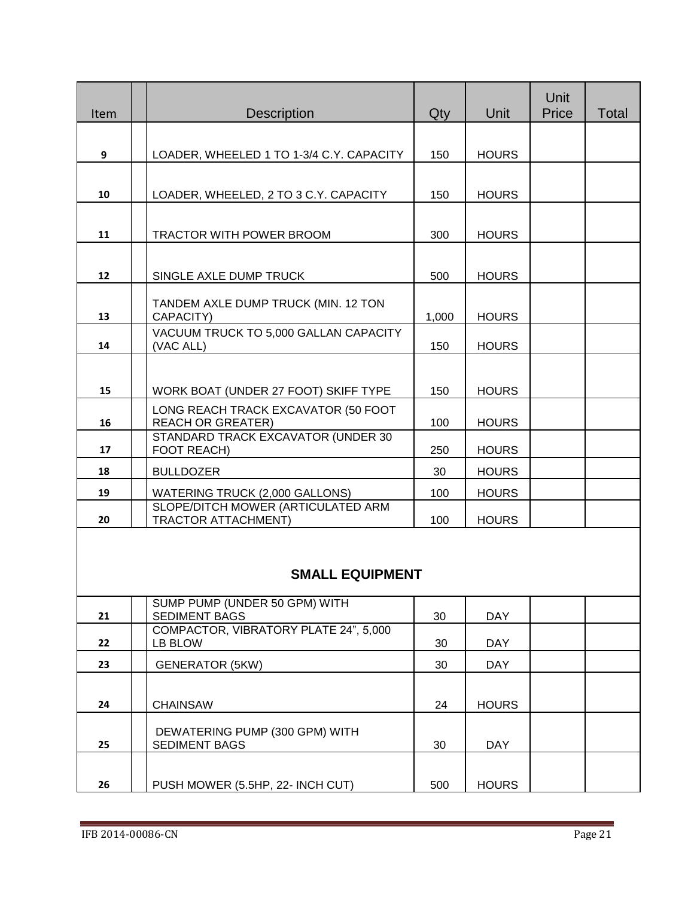| Item                   | <b>Description</b>                                               | Qty   | Unit         | Unit<br>Price | Total |
|------------------------|------------------------------------------------------------------|-------|--------------|---------------|-------|
|                        |                                                                  |       |              |               |       |
| 9                      | LOADER, WHEELED 1 TO 1-3/4 C.Y. CAPACITY                         | 150   | <b>HOURS</b> |               |       |
|                        |                                                                  |       |              |               |       |
| 10                     | LOADER, WHEELED, 2 TO 3 C.Y. CAPACITY                            | 150   | <b>HOURS</b> |               |       |
|                        |                                                                  |       |              |               |       |
| 11                     | TRACTOR WITH POWER BROOM                                         | 300   | <b>HOURS</b> |               |       |
| 12                     | SINGLE AXLE DUMP TRUCK                                           | 500   | <b>HOURS</b> |               |       |
| 13                     | TANDEM AXLE DUMP TRUCK (MIN. 12 TON<br>CAPACITY)                 | 1,000 | <b>HOURS</b> |               |       |
| 14                     | VACUUM TRUCK TO 5,000 GALLAN CAPACITY<br>(VAC ALL)               | 150   | <b>HOURS</b> |               |       |
|                        |                                                                  |       |              |               |       |
| 15                     | WORK BOAT (UNDER 27 FOOT) SKIFF TYPE                             | 150   | <b>HOURS</b> |               |       |
| 16                     | LONG REACH TRACK EXCAVATOR (50 FOOT<br><b>REACH OR GREATER)</b>  | 100   | <b>HOURS</b> |               |       |
| 17                     | STANDARD TRACK EXCAVATOR (UNDER 30<br>FOOT REACH)                | 250   | <b>HOURS</b> |               |       |
| 18                     | <b>BULLDOZER</b>                                                 | 30    | <b>HOURS</b> |               |       |
| 19                     | WATERING TRUCK (2,000 GALLONS)                                   | 100   | <b>HOURS</b> |               |       |
| 20                     | SLOPE/DITCH MOWER (ARTICULATED ARM<br><b>TRACTOR ATTACHMENT)</b> | 100   | <b>HOURS</b> |               |       |
| <b>SMALL EQUIPMENT</b> |                                                                  |       |              |               |       |
| 21                     | SUMP PUMP (UNDER 50 GPM) WITH<br>SEDIMENT BAGS                   | 30    | <b>DAY</b>   |               |       |
| 22                     | COMPACTOR, VIBRATORY PLATE 24", 5,000<br>LB BLOW                 | 30    | <b>DAY</b>   |               |       |
| 23                     | <b>GENERATOR (5KW)</b>                                           | 30    | <b>DAY</b>   |               |       |
| 24                     | <b>CHAINSAW</b>                                                  | 24    | <b>HOURS</b> |               |       |
| 25                     | DEWATERING PUMP (300 GPM) WITH<br><b>SEDIMENT BAGS</b>           | 30    | <b>DAY</b>   |               |       |
| 26                     | PUSH MOWER (5.5HP, 22- INCH CUT)                                 | 500   | <b>HOURS</b> |               |       |

 $\mathbb{R}^2$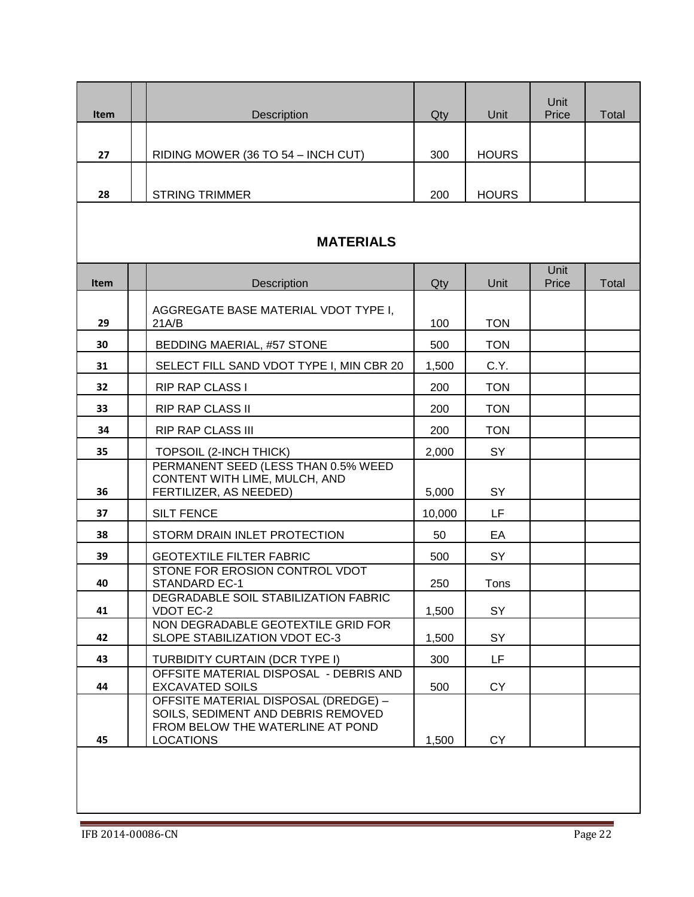| Item        | Description                                                                                                                        | Qty    | Unit         | Unit<br>Price | Total |
|-------------|------------------------------------------------------------------------------------------------------------------------------------|--------|--------------|---------------|-------|
|             |                                                                                                                                    |        |              |               |       |
| 27          | RIDING MOWER (36 TO 54 – INCH CUT)                                                                                                 | 300    | <b>HOURS</b> |               |       |
| 28          | <b>STRING TRIMMER</b>                                                                                                              | 200    | <b>HOURS</b> |               |       |
|             |                                                                                                                                    |        |              |               |       |
|             | <b>MATERIALS</b>                                                                                                                   |        |              |               |       |
| <b>Item</b> | Description                                                                                                                        | Qty    | Unit         | Unit<br>Price | Total |
|             | AGGREGATE BASE MATERIAL VDOT TYPE I,                                                                                               |        |              |               |       |
| 29          | 21A/B                                                                                                                              | 100    | <b>TON</b>   |               |       |
| 30          | <b>BEDDING MAERIAL, #57 STONE</b>                                                                                                  | 500    | <b>TON</b>   |               |       |
| 31          | SELECT FILL SAND VDOT TYPE I, MIN CBR 20                                                                                           | 1,500  | C.Y.         |               |       |
| 32          | <b>RIP RAP CLASS I</b>                                                                                                             | 200    | <b>TON</b>   |               |       |
| 33          | <b>RIP RAP CLASS II</b>                                                                                                            | 200    | <b>TON</b>   |               |       |
| 34          | <b>RIP RAP CLASS III</b>                                                                                                           | 200    | <b>TON</b>   |               |       |
| 35          | TOPSOIL (2-INCH THICK)                                                                                                             | 2,000  | <b>SY</b>    |               |       |
|             | PERMANENT SEED (LESS THAN 0.5% WEED<br>CONTENT WITH LIME, MULCH, AND                                                               |        |              |               |       |
| 36          | FERTILIZER, AS NEEDED)                                                                                                             | 5,000  | SY           |               |       |
| 37          | <b>SILT FENCE</b>                                                                                                                  | 10,000 | LF           |               |       |
| 38          | STORM DRAIN INLET PROTECTION                                                                                                       | 50     | EA           |               |       |
| 39          | <b>GEOTEXTILE FILTER FABRIC</b><br>STONE FOR EROSION CONTROL VDOT                                                                  | 500    | SY           |               |       |
| 40          | STANDARD EC-1                                                                                                                      | 250    | Tons         |               |       |
| 41          | DEGRADABLE SOIL STABILIZATION FABRIC<br>VDOT EC-2                                                                                  | 1,500  | SY           |               |       |
| 42          | NON DEGRADABLE GEOTEXTILE GRID FOR<br>SLOPE STABILIZATION VDOT EC-3                                                                |        | SY           |               |       |
|             |                                                                                                                                    | 1,500  |              |               |       |
| 43          | TURBIDITY CURTAIN (DCR TYPE I)<br>OFFSITE MATERIAL DISPOSAL - DEBRIS AND                                                           | 300    | LF.          |               |       |
| 44          | <b>EXCAVATED SOILS</b>                                                                                                             | 500    | СY           |               |       |
| 45          | OFFSITE MATERIAL DISPOSAL (DREDGE) -<br>SOILS, SEDIMENT AND DEBRIS REMOVED<br>FROM BELOW THE WATERLINE AT POND<br><b>LOCATIONS</b> | 1,500  | <b>CY</b>    |               |       |
|             |                                                                                                                                    |        |              |               |       |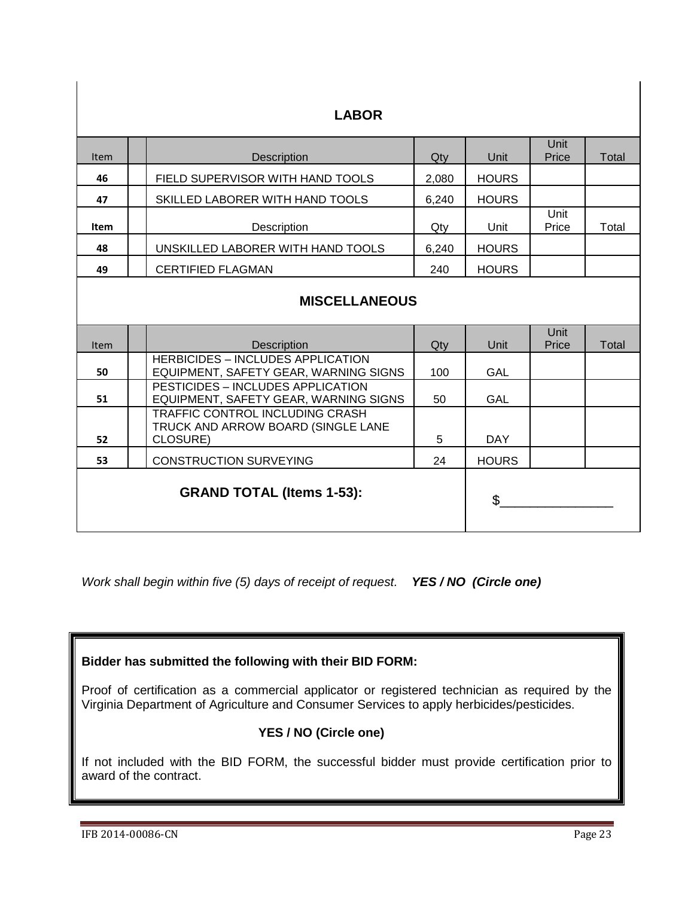| <b>LABOR</b> |                                                                                   |       |              |               |       |
|--------------|-----------------------------------------------------------------------------------|-------|--------------|---------------|-------|
| Item         | <b>Description</b>                                                                | Qty   | Unit         | Unit<br>Price | Total |
| 46           | FIELD SUPERVISOR WITH HAND TOOLS                                                  | 2,080 | <b>HOURS</b> |               |       |
| 47           | SKILLED LABORER WITH HAND TOOLS                                                   | 6,240 | <b>HOURS</b> |               |       |
| Item         | Description                                                                       | Qty   | Unit         | Unit<br>Price | Total |
| 48           | UNSKILLED LABORER WITH HAND TOOLS                                                 | 6,240 | <b>HOURS</b> |               |       |
| 49           | <b>CERTIFIED FLAGMAN</b>                                                          | 240   | <b>HOURS</b> |               |       |
|              | <b>MISCELLANEOUS</b>                                                              |       |              |               |       |
| <b>Item</b>  | <b>Description</b>                                                                | Qty   | Unit         | Unit<br>Price | Total |
| 50           | <b>HERBICIDES - INCLUDES APPLICATION</b><br>EQUIPMENT, SAFETY GEAR, WARNING SIGNS | 100   | GAL          |               |       |
| 51           | PESTICIDES - INCLUDES APPLICATION<br>EQUIPMENT, SAFETY GEAR, WARNING SIGNS        | 50    | <b>GAL</b>   |               |       |
| 52           | TRAFFIC CONTROL INCLUDING CRASH<br>TRUCK AND ARROW BOARD (SINGLE LANE<br>CLOSURE) | 5     | <b>DAY</b>   |               |       |
| 53           | <b>CONSTRUCTION SURVEYING</b>                                                     | 24    | <b>HOURS</b> |               |       |
|              | <b>GRAND TOTAL (Items 1-53):</b>                                                  |       | \$           |               |       |

*Work shall begin within five (5) days of receipt of request. YES / NO (Circle one)*

### **Bidder has submitted the following with their BID FORM:**

Proof of certification as a commercial applicator or registered technician as required by the Virginia Department of Agriculture and Consumer Services to apply herbicides/pesticides.

### **YES / NO (Circle one)**

If not included with the BID FORM, the successful bidder must provide certification prior to award of the contract.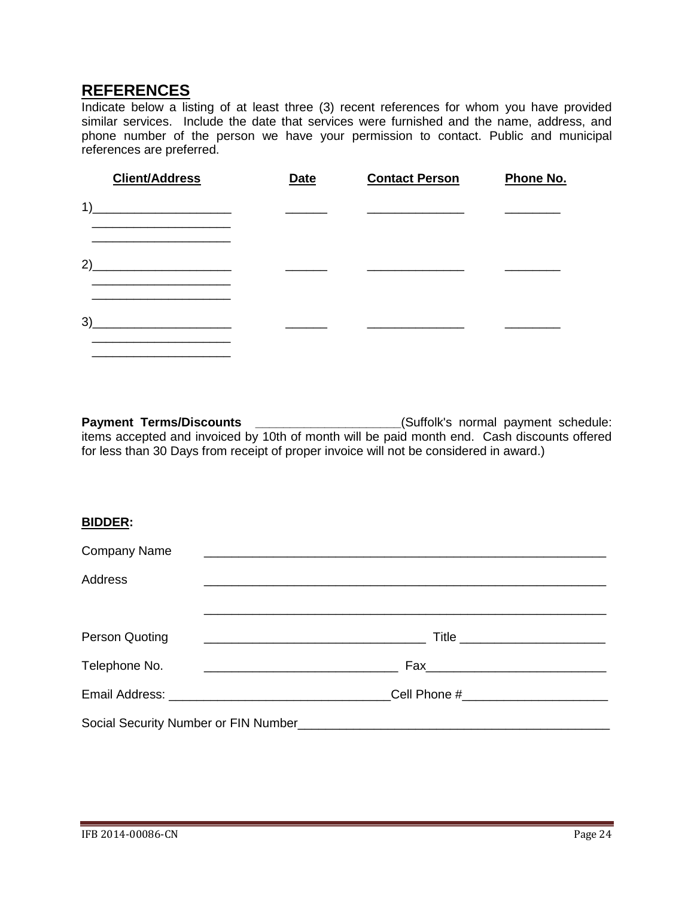## **REFERENCES**

Indicate below a listing of at least three (3) recent references for whom you have provided similar services. Include the date that services were furnished and the name, address, and phone number of the person we have your permission to contact. Public and municipal references are preferred.

| <b>Client/Address</b>                                                            | Date | <b>Contact Person</b> | Phone No. |
|----------------------------------------------------------------------------------|------|-----------------------|-----------|
| 1)<br>the control of the control of the control of the control of the control of |      |                       |           |
| 2)                                                                               |      |                       |           |
| 3)                                                                               |      |                       |           |

**Payment Terms/Discounts** \_\_\_\_\_\_\_\_\_\_\_\_\_\_\_\_\_\_\_\_\_(Suffolk's normal payment schedule: items accepted and invoiced by 10th of month will be paid month end. Cash discounts offered for less than 30 Days from receipt of proper invoice will not be considered in award.)

#### **BIDDER:**

| <b>Company Name</b> | <u> 1989 - Johann Harry Harry Harry Harry Harry Harry Harry Harry Harry Harry Harry Harry Harry Harry Harry Harry</u>                                                                                                          |
|---------------------|--------------------------------------------------------------------------------------------------------------------------------------------------------------------------------------------------------------------------------|
| <b>Address</b>      |                                                                                                                                                                                                                                |
|                     |                                                                                                                                                                                                                                |
| Person Quoting      | Title ___________________________                                                                                                                                                                                              |
| Telephone No.       | <u> 1980 - Johann Barn, mars ann an t-Amhain ann an t-Amhain an t-Amhain an t-Amhain an t-Amhain ann an t-Amhain a</u>                                                                                                         |
|                     |                                                                                                                                                                                                                                |
|                     | Social Security Number or FIN Number League and Contract Contract Contract Contract Contract Contract Contract Contract Contract Contract Contract Contract Contract Contract Contract Contract Contract Contract Contract Con |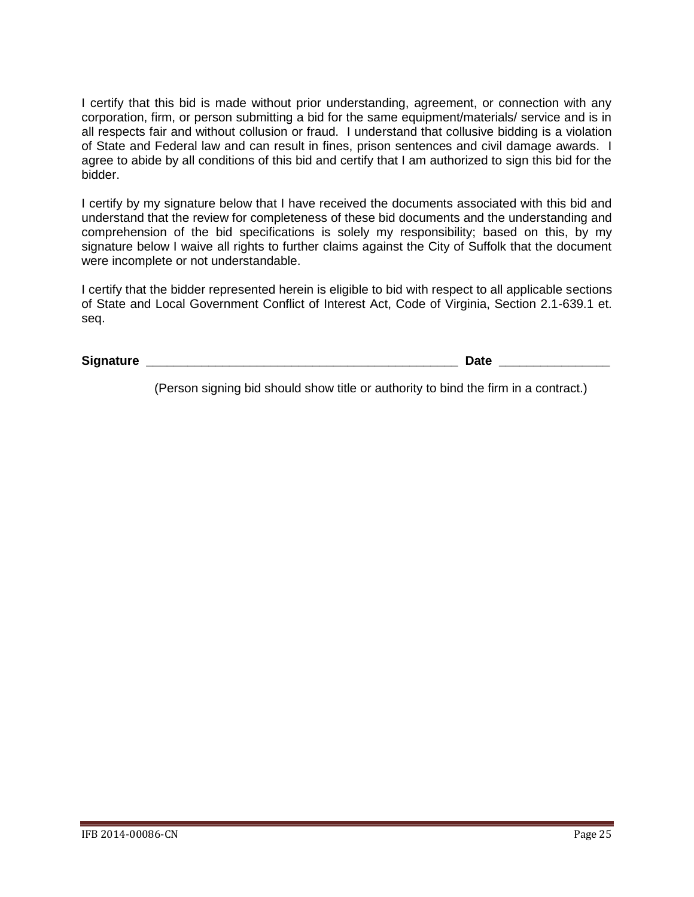I certify that this bid is made without prior understanding, agreement, or connection with any corporation, firm, or person submitting a bid for the same equipment/materials/ service and is in all respects fair and without collusion or fraud. I understand that collusive bidding is a violation of State and Federal law and can result in fines, prison sentences and civil damage awards. I agree to abide by all conditions of this bid and certify that I am authorized to sign this bid for the bidder.

I certify by my signature below that I have received the documents associated with this bid and understand that the review for completeness of these bid documents and the understanding and comprehension of the bid specifications is solely my responsibility; based on this, by my signature below I waive all rights to further claims against the City of Suffolk that the document were incomplete or not understandable.

I certify that the bidder represented herein is eligible to bid with respect to all applicable sections of State and Local Government Conflict of Interest Act, Code of Virginia, Section 2.1-639.1 et. seq.

| <b>Signature</b><br>$-$<br>- - -<br>. | - 1<br><u>_</u> |
|---------------------------------------|-----------------|
|                                       |                 |

(Person signing bid should show title or authority to bind the firm in a contract.)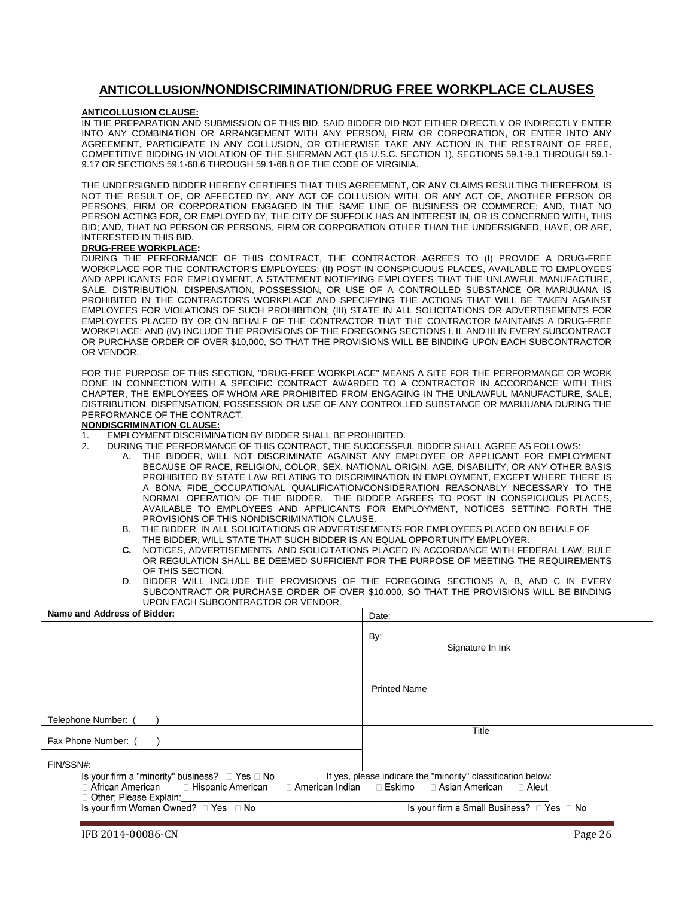#### **ANTICOLLUSION/NONDISCRIMINATION/DRUG FREE WORKPLACE CLAUSES**

#### **ANTICOLLUSION CLAUSE:**

IN THE PREPARATION AND SUBMISSION OF THIS BID, SAID BIDDER DID NOT EITHER DIRECTLY OR INDIRECTLY ENTER INTO ANY COMBINATION OR ARRANGEMENT WITH ANY PERSON, FIRM OR CORPORATION, OR ENTER INTO ANY AGREEMENT, PARTICIPATE IN ANY COLLUSION, OR OTHERWISE TAKE ANY ACTION IN THE RESTRAINT OF FREE, COMPETITIVE BIDDING IN VIOLATION OF THE SHERMAN ACT (15 U.S.C. SECTION 1), SECTIONS 59.1-9.1 THROUGH 59.1- 9.17 OR SECTIONS 59.1-68.6 THROUGH 59.1-68.8 OF THE CODE OF VIRGINIA.

THE UNDERSIGNED BIDDER HEREBY CERTIFIES THAT THIS AGREEMENT, OR ANY CLAIMS RESULTING THEREFROM, IS NOT THE RESULT OF, OR AFFECTED BY, ANY ACT OF COLLUSION WITH, OR ANY ACT OF, ANOTHER PERSON OR PERSONS, FIRM OR CORPORATION ENGAGED IN THE SAME LINE OF BUSINESS OR COMMERCE; AND, THAT NO PERSON ACTING FOR, OR EMPLOYED BY, THE CITY OF SUFFOLK HAS AN INTEREST IN, OR IS CONCERNED WITH, THIS BID; AND, THAT NO PERSON OR PERSONS, FIRM OR CORPORATION OTHER THAN THE UNDERSIGNED, HAVE, OR ARE, INTERESTED IN THIS BID.

#### **DRUG-FREE WORKPLACE:**

DURING THE PERFORMANCE OF THIS CONTRACT, THE CONTRACTOR AGREES TO (I) PROVIDE A DRUG-FREE WORKPLACE FOR THE CONTRACTOR'S EMPLOYEES; (II) POST IN CONSPICUOUS PLACES, AVAILABLE TO EMPLOYEES AND APPLICANTS FOR EMPLOYMENT, A STATEMENT NOTIFYING EMPLOYEES THAT THE UNLAWFUL MANUFACTURE, SALE, DISTRIBUTION, DISPENSATION, POSSESSION, OR USE OF A CONTROLLED SUBSTANCE OR MARIJUANA IS PROHIBITED IN THE CONTRACTOR'S WORKPLACE AND SPECIFYING THE ACTIONS THAT WILL BE TAKEN AGAINST EMPLOYEES FOR VIOLATIONS OF SUCH PROHIBITION; (III) STATE IN ALL SOLICITATIONS OR ADVERTISEMENTS FOR EMPLOYEES PLACED BY OR ON BEHALF OF THE CONTRACTOR THAT THE CONTRACTOR MAINTAINS A DRUG-FREE WORKPLACE; AND (IV) INCLUDE THE PROVISIONS OF THE FOREGOING SECTIONS I, II, AND III IN EVERY SUBCONTRACT OR PURCHASE ORDER OF OVER \$10,000, SO THAT THE PROVISIONS WILL BE BINDING UPON EACH SUBCONTRACTOR OR VENDOR.

FOR THE PURPOSE OF THIS SECTION, "DRUG-FREE WORKPLACE" MEANS A SITE FOR THE PERFORMANCE OR WORK DONE IN CONNECTION WITH A SPECIFIC CONTRACT AWARDED TO A CONTRACTOR IN ACCORDANCE WITH THIS CHAPTER, THE EMPLOYEES OF WHOM ARE PROHIBITED FROM ENGAGING IN THE UNLAWFUL MANUFACTURE, SALE, DISTRIBUTION, DISPENSATION, POSSESSION OR USE OF ANY CONTROLLED SUBSTANCE OR MARIJUANA DURING THE PERFORMANCE OF THE CONTRACT.

#### **NONDISCRIMINATION CLAUSE:**

- 1. EMPLOYMENT DISCRIMINATION BY BIDDER SHALL BE PROHIBITED.
- 2. DURING THE PERFORMANCE OF THIS CONTRACT, THE SUCCESSFUL BIDDER SHALL AGREE AS FOLLOWS:
	- A. THE BIDDER, WILL NOT DISCRIMINATE AGAINST ANY EMPLOYEE OR APPLICANT FOR EMPLOYMENT BECAUSE OF RACE, RELIGION, COLOR, SEX, NATIONAL ORIGIN, AGE, DISABILITY, OR ANY OTHER BASIS PROHIBITED BY STATE LAW RELATING TO DISCRIMINATION IN EMPLOYMENT, EXCEPT WHERE THERE IS A BONA FIDE OCCUPATIONAL QUALIFICATION/CONSIDERATION REASONABLY NECESSARY TO THE NORMAL OPERATION OF THE BIDDER. THE BIDDER AGREES TO POST IN CONSPICUOUS PLACES, AVAILABLE TO EMPLOYEES AND APPLICANTS FOR EMPLOYMENT, NOTICES SETTING FORTH THE PROVISIONS OF THIS NONDISCRIMINATION CLAUSE.
	- B. THE BIDDER, IN ALL SOLICITATIONS OR ADVERTISEMENTS FOR EMPLOYEES PLACED ON BEHALF OF THE BIDDER, WILL STATE THAT SUCH BIDDER IS AN EQUAL OPPORTUNITY EMPLOYER.
	- **C.** NOTICES, ADVERTISEMENTS, AND SOLICITATIONS PLACED IN ACCORDANCE WITH FEDERAL LAW, RULE OR REGULATION SHALL BE DEEMED SUFFICIENT FOR THE PURPOSE OF MEETING THE REQUIREMENTS OF THIS SECTION.
	- D. BIDDER WILL INCLUDE THE PROVISIONS OF THE FOREGOING SECTIONS A, B, AND C IN EVERY SUBCONTRACT OR PURCHASE ORDER OF OVER \$10,000, SO THAT THE PROVISIONS WILL BE BINDING UPON EACH SUBCONTRACTOR OR VENDOR.

| Name and Address of Bidder:                              | Date:                                                        |
|----------------------------------------------------------|--------------------------------------------------------------|
|                                                          | By:                                                          |
|                                                          | Signature In Ink                                             |
|                                                          |                                                              |
|                                                          | <b>Printed Name</b>                                          |
|                                                          |                                                              |
| Telephone Number:                                        |                                                              |
| Fax Phone Number: (                                      | Title                                                        |
| FIN/SSN#:                                                |                                                              |
| Is your firm a "minority" business? $\Box$ Yes $\Box$ No | If yes, please indicate the "minority" classification below: |
| □ African American<br>□ Hispanic American                | □ American Indian □ Eskimo □ Asian American<br>$\Box$ Aleut  |
| Other; Please Explain:                                   |                                                              |
| Is your firm Woman Owned? □ Yes □ No                     | Is your firm a Small Business? □ Yes □ No                    |
|                                                          |                                                              |